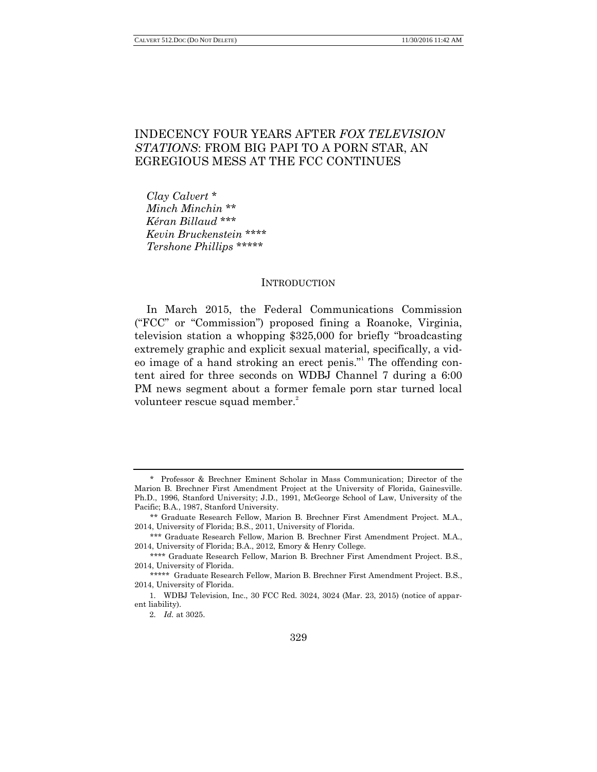# INDECENCY FOUR YEARS AFTER *FOX TELEVISION STATIONS*: FROM BIG PAPI TO A PORN STAR, AN EGREGIOUS MESS AT THE FCC CONTINUES

*Clay Calvert* \* *Minch Minchin* \*\* *Kéran Billaud* \*\*\* *Kevin Bruckenstein* \*\*\*\* *Tershone Phillips* \*\*\*\*\*

# INTRODUCTION

In March 2015, the Federal Communications Commission (―FCC‖ or ―Commission‖) proposed fining a Roanoke, Virginia, television station a whopping \$325,000 for briefly "broadcasting" extremely graphic and explicit sexual material, specifically, a video image of a hand stroking an erect penis." The offending content aired for three seconds on WDBJ Channel 7 during a 6:00 PM news segment about a former female porn star turned local volunteer rescue squad member.<sup>2</sup>

<sup>\*</sup> Professor & Brechner Eminent Scholar in Mass Communication; Director of the Marion B. Brechner First Amendment Project at the University of Florida, Gainesville. Ph.D., 1996, Stanford University; J.D., 1991, McGeorge School of Law, University of the Pacific; B.A., 1987, Stanford University.

<sup>\*\*</sup> Graduate Research Fellow, Marion B. Brechner First Amendment Project. M.A., 2014, University of Florida; B.S., 2011, University of Florida.

<sup>\*\*\*</sup> Graduate Research Fellow, Marion B. Brechner First Amendment Project. M.A., 2014, University of Florida; B.A., 2012, Emory & Henry College.

<sup>\*\*\*\*</sup> Graduate Research Fellow, Marion B. Brechner First Amendment Project. B.S., 2014, University of Florida.

<sup>\*\*\*\*\*</sup> Graduate Research Fellow, Marion B. Brechner First Amendment Project. B.S., 2014, University of Florida.

<sup>1.</sup> WDBJ Television, Inc., 30 FCC Rcd. 3024, 3024 (Mar. 23, 2015) (notice of apparent liability).

<sup>2.</sup> *Id.* at 3025.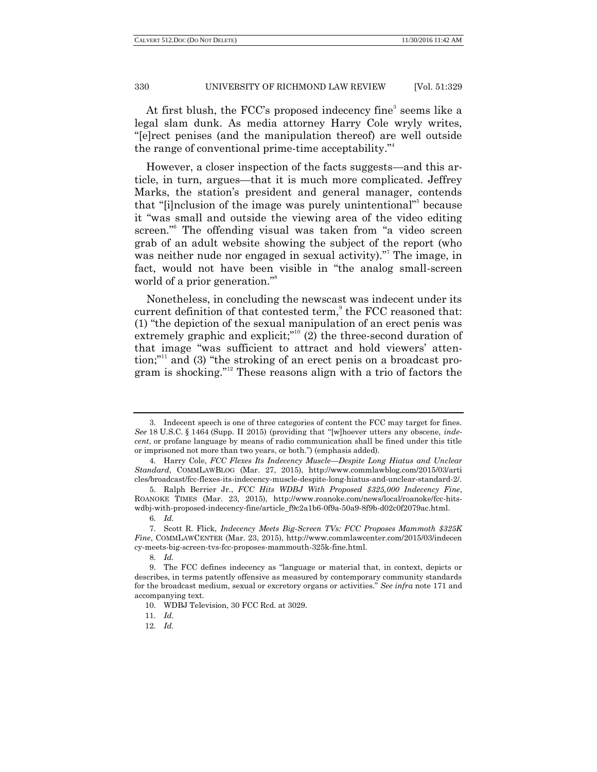At first blush, the FCC's proposed indecency fine<sup>3</sup> seems like a legal slam dunk. As media attorney Harry Cole wryly writes, ―[e]rect penises (and the manipulation thereof) are well outside the range of conventional prime-time acceptability."

However, a closer inspection of the facts suggests—and this article, in turn, argues—that it is much more complicated. Jeffrey Marks, the station's president and general manager, contends that "[i]nclusion of the image was purely unintentional"<sup>5</sup> because it "was small and outside the viewing area of the video editing screen."<sup>6</sup> The offending visual was taken from "a video screen grab of an adult website showing the subject of the report (who was neither nude nor engaged in sexual activity)." The image, in fact, would not have been visible in "the analog small-screen world of a prior generation."<sup>8</sup>

Nonetheless, in concluding the newscast was indecent under its current definition of that contested term, $^{\circ}$  the FCC reasoned that:  $(1)$  "the depiction of the sexual manipulation of an erect penis was extremely graphic and explicit;"<sup>10</sup> (2) the three-second duration of that image "was sufficient to attract and hold viewers' attention;"<sup>11</sup> and (3) "the stroking of an erect penis on a broadcast program is shocking."<sup>12</sup> These reasons align with a trio of factors the

<sup>3.</sup> Indecent speech is one of three categories of content the FCC may target for fines. See 18 U.S.C. § 1464 (Supp. II 2015) (providing that "[w]hoever utters any obscene, *indecent*, or profane language by means of radio communication shall be fined under this title or imprisoned not more than two years, or both.") (emphasis added).

<sup>4.</sup> Harry Cole, *FCC Flexes Its Indecency Muscle—Despite Long Hiatus and Unclear Standard*, COMMLAWBLOG (Mar. 27, 2015), http://www.commlawblog.com/2015/03/arti cles/broadcast/fcc-flexes-its-indecency-muscle-despite-long-hiatus-and-unclear-standard-2/.

<sup>5.</sup> Ralph Berrier Jr., *FCC Hits WDBJ With Proposed \$325,000 Indecency Fine*, ROANOKE TIMES (Mar. 23, 2015), http://www.roanoke.com/news/local/roanoke/fcc-hitswdbj-with-proposed-indecency-fine/article\_f9c2a1b6-0f9a-50a9-8f9b-d02c0f2079ac.html.

<sup>6.</sup> *Id.*

<sup>7.</sup> Scott R. Flick, *Indecency Meets Big-Screen TVs: FCC Proposes Mammoth \$325K Fine*, COMMLAWCENTER (Mar. 23, 2015), http://www.commlawcenter.com/2015/03/indecen cy-meets-big-screen-tvs-fcc-proposes-mammouth-325k-fine.html.

<sup>8.</sup> *Id.*

<sup>9.</sup> The FCC defines indecency as "language or material that, in context, depicts or describes, in terms patently offensive as measured by contemporary community standards for the broadcast medium, sexual or excretory organs or activities.‖ *See infra* note 171 and accompanying text.

<sup>10.</sup> WDBJ Television, 30 FCC Rcd. at 3029.

<sup>11.</sup> *Id.*

<sup>12.</sup> *Id.*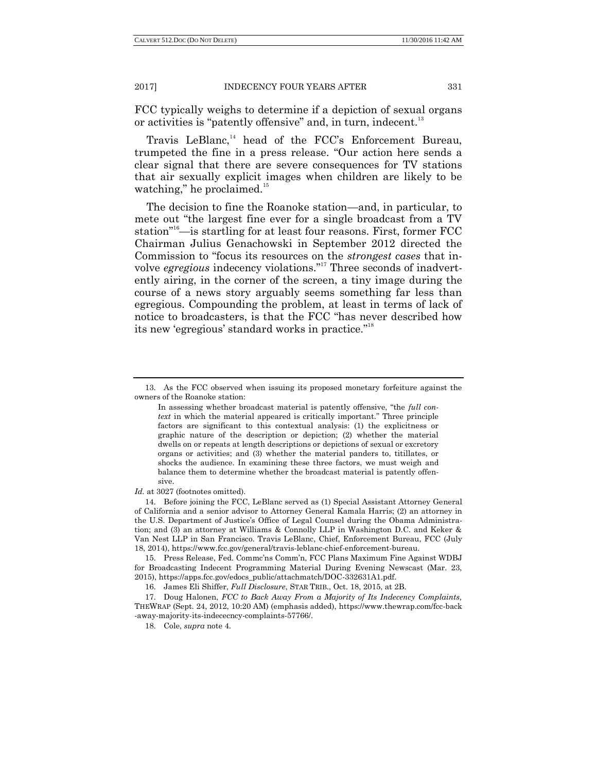FCC typically weighs to determine if a depiction of sexual organs or activities is "patently offensive" and, in turn, indecent.<sup>13</sup>

Travis LeBlanc,<sup>14</sup> head of the FCC's Enforcement Bureau, trumpeted the fine in a press release. "Our action here sends a clear signal that there are severe consequences for TV stations that air sexually explicit images when children are likely to be watching," he proclaimed. $15$ 

The decision to fine the Roanoke station—and, in particular, to mete out "the largest fine ever for a single broadcast from a TV station<sup>"16</sup>—is startling for at least four reasons. First, former FCC Chairman Julius Genachowski in September 2012 directed the Commission to "focus its resources on the *strongest cases* that involve *egregious* indecency violations."<sup>17</sup> Three seconds of inadvertently airing, in the corner of the screen, a tiny image during the course of a news story arguably seems something far less than egregious. Compounding the problem, at least in terms of lack of notice to broadcasters, is that the FCC "has never described how its new 'egregious' standard works in practice."<sup>18</sup>

#### *Id.* at 3027 (footnotes omitted).

14. Before joining the FCC, LeBlanc served as (1) Special Assistant Attorney General of California and a senior advisor to Attorney General Kamala Harris; (2) an attorney in the U.S. Department of Justice's Office of Legal Counsel during the Obama Administration; and (3) an attorney at Williams & Connolly LLP in Washington D.C. and Keker & Van Nest LLP in San Francisco. Travis LeBlanc, Chief, Enforcement Bureau, FCC (July 18, 2014), https://www.fcc.gov/general/travis-leblanc-chief-enforcement-bureau.

15. Press Release, Fed. Commc'ns Comm'n, FCC Plans Maximum Fine Against WDBJ for Broadcasting Indecent Programming Material During Evening Newscast (Mar. 23, 2015), [https://apps.fcc.gov/edocs\\_public/attachmatch/DOC-332631A1.pdf.](https://apps.fcc.gov/edocs_public/attachmatch/DOC-332631A1.pdf)

16. James Eli Shiffer, *Full Disclosure*, STAR TRIB., Oct. 18, 2015, at 2B.

<sup>13.</sup> As the FCC observed when issuing its proposed monetary forfeiture against the owners of the Roanoke station:

In assessing whether broadcast material is patently offensive, "the *full context* in which the material appeared is critically important." Three principle factors are significant to this contextual analysis: (1) the explicitness or graphic nature of the description or depiction; (2) whether the material dwells on or repeats at length descriptions or depictions of sexual or excretory organs or activities; and (3) whether the material panders to, titillates, or shocks the audience. In examining these three factors, we must weigh and balance them to determine whether the broadcast material is patently offensive.

<sup>17.</sup> Doug Halonen, *FCC to Back Away From a Majority of Its Indecency Complaints,*  THEWRAP (Sept. 24, 2012, 10:20 AM) (emphasis added), https://www.thewrap.com/fcc-back -away-majority-its-indececncy-complaints-57766/.

<sup>18.</sup> Cole, *supra* note 4.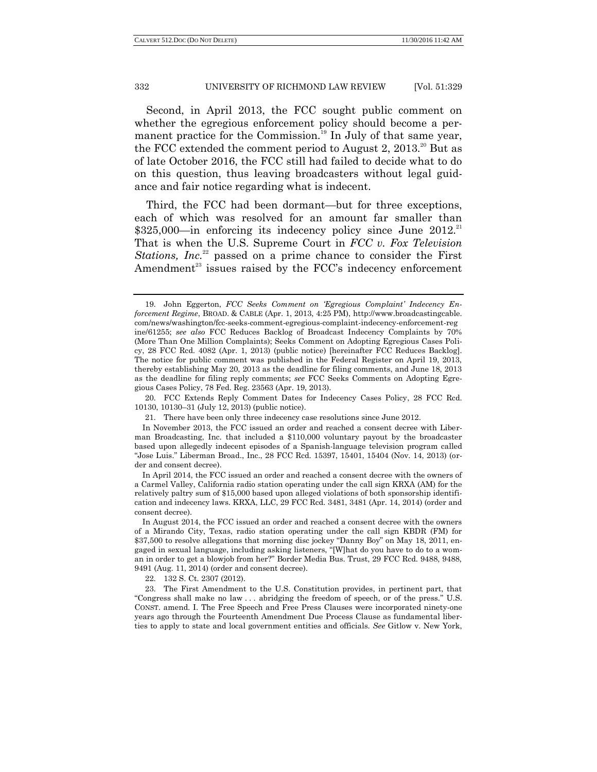Second, in April 2013, the FCC sought public comment on whether the egregious enforcement policy should become a permanent practice for the Commission.<sup>19</sup> In July of that same year, the FCC extended the comment period to August 2,  $2013$ <sup>20</sup> But as of late October 2016, the FCC still had failed to decide what to do on this question, thus leaving broadcasters without legal guidance and fair notice regarding what is indecent.

Third, the FCC had been dormant—but for three exceptions, each of which was resolved for an amount far smaller than  $$325,000$ —in enforcing its indecency policy since June  $2012$ <sup>21</sup> That is when the U.S. Supreme Court in *FCC v. Fox Television Stations, Inc.*<sup>22</sup> passed on a prime chance to consider the First Amendment $^{23}$  issues raised by the FCC's indecency enforcement

20. FCC Extends Reply Comment Dates for Indecency Cases Policy, 28 FCC Rcd. 10130, 10130–31 (July 12, 2013) (public notice).

22. 132 S. Ct. 2307 (2012).

23. The First Amendment to the U.S. Constitution provides, in pertinent part, that "Congress shall make no law ... abridging the freedom of speech, or of the press." U.S. CONST. amend. I. The Free Speech and Free Press Clauses were incorporated ninety-one years ago through the Fourteenth Amendment Due Process Clause as fundamental liberties to apply to state and local government entities and officials. *See* Gitlow v. New York,

<sup>19.</sup> John Eggerton, *FCC Seeks Comment on "Egregious Complaint" Indecency Enforcement Regime*, BROAD. & CABLE (Apr. 1, 2013, 4:25 PM), http://www.broadcastingcable. com/news/washington/fcc-seeks-comment-egregious-complaint-indecency-enforcement-reg ine/61255; *see also* FCC Reduces Backlog of Broadcast Indecency Complaints by 70% (More Than One Million Complaints); Seeks Comment on Adopting Egregious Cases Policy, 28 FCC Rcd. 4082 (Apr. 1, 2013) (public notice) [hereinafter FCC Reduces Backlog]. The notice for public comment was published in the Federal Register on April 19, 2013, thereby establishing May 20, 2013 as the deadline for filing comments, and June 18, 2013 as the deadline for filing reply comments; *see* FCC Seeks Comments on Adopting Egregious Cases Policy, 78 Fed. Reg. 23563 (Apr. 19, 2013).

<sup>21.</sup> There have been only three indecency case resolutions since June 2012.

In November 2013, the FCC issued an order and reached a consent decree with Liberman Broadcasting, Inc. that included a \$110,000 voluntary payout by the broadcaster based upon allegedly indecent episodes of a Spanish-language television program called "Jose Luis." Liberman Broad., Inc., 28 FCC Rcd. 15397, 15401, 15404 (Nov. 14, 2013) (order and consent decree).

In April 2014, the FCC issued an order and reached a consent decree with the owners of a Carmel Valley, California radio station operating under the call sign KRXA (AM) for the relatively paltry sum of \$15,000 based upon alleged violations of both sponsorship identification and indecency laws. KRXA, LLC, 29 FCC Rcd. 3481, 3481 (Apr. 14, 2014) (order and consent decree).

In August 2014, the FCC issued an order and reached a consent decree with the owners of a Mirando City, Texas, radio station operating under the call sign KBDR (FM) for \$37,500 to resolve allegations that morning disc jockey "Danny Boy" on May 18, 2011, engaged in sexual language, including asking listeners, "[W]hat do you have to do to a woman in order to get a blowjob from her?‖ Border Media Bus. Trust, 29 FCC Rcd. 9488, 9488, 9491 (Aug. 11, 2014) (order and consent decree).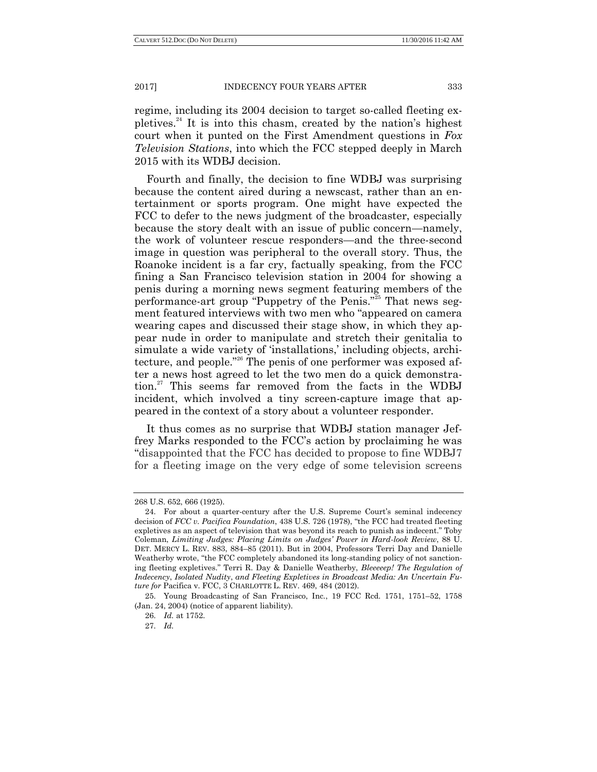regime, including its 2004 decision to target so-called fleeting expletives.<sup>24</sup> It is into this chasm, created by the nation's highest court when it punted on the First Amendment questions in *Fox Television Stations*, into which the FCC stepped deeply in March 2015 with its WDBJ decision.

Fourth and finally, the decision to fine WDBJ was surprising because the content aired during a newscast, rather than an entertainment or sports program. One might have expected the FCC to defer to the news judgment of the broadcaster, especially because the story dealt with an issue of public concern—namely, the work of volunteer rescue responders—and the three-second image in question was peripheral to the overall story. Thus, the Roanoke incident is a far cry, factually speaking, from the FCC fining a San Francisco television station in 2004 for showing a penis during a morning news segment featuring members of the performance-art group "Puppetry of the Penis."<sup>25</sup> That news segment featured interviews with two men who "appeared on camera" wearing capes and discussed their stage show, in which they appear nude in order to manipulate and stretch their genitalia to simulate a wide variety of 'installations,' including objects, architecture, and people."<sup>26</sup> The penis of one performer was exposed after a news host agreed to let the two men do a quick demonstration.<sup>27</sup> This seems far removed from the facts in the WDBJ incident, which involved a tiny screen-capture image that appeared in the context of a story about a volunteer responder.

It thus comes as no surprise that WDBJ station manager Jeffrey Marks responded to the FCC's action by proclaiming he was "disappointed that the FCC has decided to propose to fine WDBJ7 for a fleeting image on the very edge of some television screens

<sup>268</sup> U.S. 652, 666 (1925).

<sup>24.</sup> For about a quarter-century after the U.S. Supreme Court's seminal indecency decision of *FCC v. Pacifica Foundation*, 438 U.S. 726 (1978), "the FCC had treated fleeting expletives as an aspect of television that was beyond its reach to punish as indecent." Toby Coleman, *Limiting Judges: Placing Limits on Judges" Power in Hard-look Review*, 88 U. DET. MERCY L. REV. 883, 884–85 (2011). But in 2004, Professors Terri Day and Danielle Weatherby wrote, "the FCC completely abandoned its long-standing policy of not sanctioning fleeting expletives.‖ Terri R. Day & Danielle Weatherby, *Bleeeeep! The Regulation of Indecency*, *Isolated Nudity*, *and Fleeting Expletives in Broadcast Media: An Uncertain Future for* Pacifica v. FCC, 3 CHARLOTTE L. REV. 469, 484 (2012).

<sup>25.</sup> Young Broadcasting of San Francisco, Inc., 19 FCC Rcd. 1751, 1751–52, 1758 (Jan. 24, 2004) (notice of apparent liability).

<sup>26.</sup> *Id.* at 1752.

<sup>27.</sup> *Id.*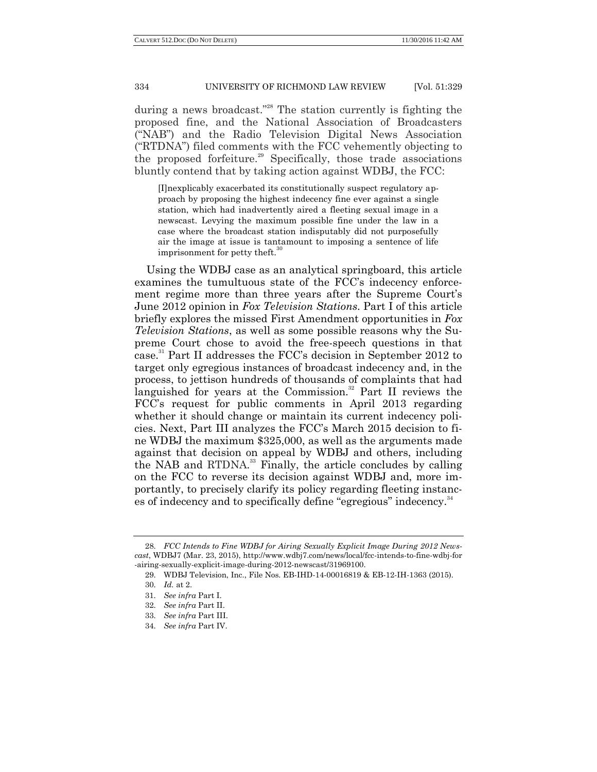during a news broadcast."<sup>28</sup> The station currently is fighting the proposed fine, and the National Association of Broadcasters (―NAB‖) and the Radio Television Digital News Association (―RTDNA‖) filed comments with the FCC vehemently objecting to the proposed forfeiture.<sup>29</sup> Specifically, those trade associations bluntly contend that by taking action against WDBJ, the FCC:

[I]nexplicably exacerbated its constitutionally suspect regulatory approach by proposing the highest indecency fine ever against a single station, which had inadvertently aired a fleeting sexual image in a newscast. Levying the maximum possible fine under the law in a case where the broadcast station indisputably did not purposefully air the image at issue is tantamount to imposing a sentence of life imprisonment for petty theft.<sup>3</sup>

Using the WDBJ case as an analytical springboard, this article examines the tumultuous state of the FCC's indecency enforcement regime more than three years after the Supreme Court's June 2012 opinion in *Fox Television Stations*. Part I of this article briefly explores the missed First Amendment opportunities in *Fox Television Stations*, as well as some possible reasons why the Supreme Court chose to avoid the free-speech questions in that case. <sup>31</sup> Part II addresses the FCC's decision in September 2012 to target only egregious instances of broadcast indecency and, in the process, to jettison hundreds of thousands of complaints that had languished for years at the Commission. $32$  Part II reviews the FCC's request for public comments in April 2013 regarding whether it should change or maintain its current indecency policies. Next, Part III analyzes the FCC's March 2015 decision to fine WDBJ the maximum \$325,000, as well as the arguments made against that decision on appeal by WDBJ and others, including the NAB and RTDNA. <sup>33</sup> Finally, the article concludes by calling on the FCC to reverse its decision against WDBJ and, more importantly, to precisely clarify its policy regarding fleeting instances of indecency and to specifically define "egregious" indecency.<sup>34</sup>

<sup>28.</sup> *FCC Intends to Fine WDBJ for Airing Sexually Explicit Image During 2012 Newscast*, WDBJ7 (Mar. 23, 2015), http://www.wdbj7.com/news/local/fcc-intends-to-fine-wdbj-for -airing-sexually-explicit-image-during-2012-newscast/31969100.

<sup>29.</sup> WDBJ Television, Inc., File Nos. EB-IHD-14-00016819 & EB-12-IH-1363 (2015).

<sup>30.</sup> *Id.* at 2.

<sup>31.</sup> *See infra* Part I.

<sup>32.</sup> *See infra* Part II.

<sup>33.</sup> *See infra* Part III.

<sup>34.</sup> *See infra* Part IV.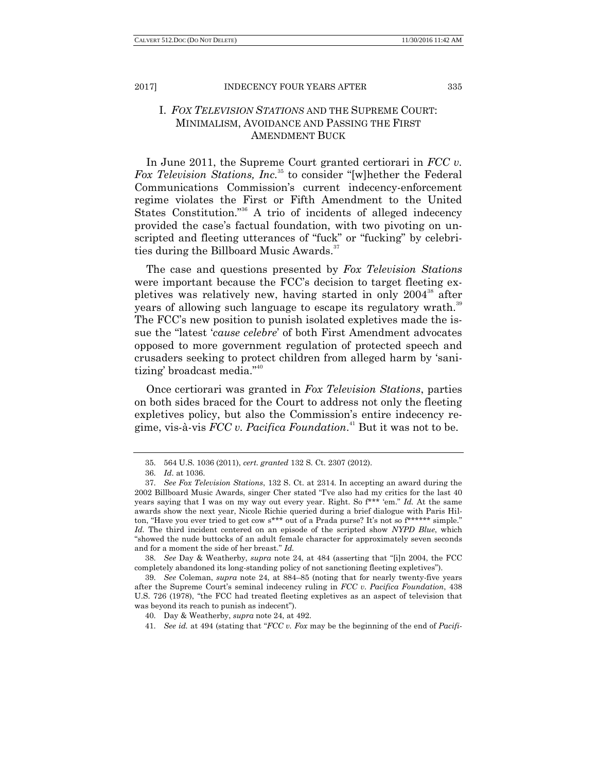# I. *FOX TELEVISION STATIONS* AND THE SUPREME COURT: MINIMALISM, AVOIDANCE AND PASSING THE FIRST AMENDMENT BUCK

In June 2011, the Supreme Court granted certiorari in *FCC v. Fox Television Stations, Inc.*<sup>35</sup> to consider "[w]hether the Federal Communications Commission's current indecency-enforcement regime violates the First or Fifth Amendment to the United States Constitution.<sup>36</sup> A trio of incidents of alleged indecency provided the case's factual foundation, with two pivoting on unscripted and fleeting utterances of "fuck" or "fucking" by celebrities during the Billboard Music Awards. $37$ 

The case and questions presented by *Fox Television Stations* were important because the FCC's decision to target fleeting expletives was relatively new, having started in only  $2004^{38}$  after years of allowing such language to escape its regulatory wrath.<sup>39</sup> The FCC's new position to punish isolated expletives made the issue the "latest '*cause celebre*' of both First Amendment advocates opposed to more government regulation of protected speech and crusaders seeking to protect children from alleged harm by 'sanitizing' broadcast media."<sup>40</sup>

Once certiorari was granted in *Fox Television Stations*, parties on both sides braced for the Court to address not only the fleeting expletives policy, but also the Commission's entire indecency regime, vis-à-vis *FCC v. Pacifica Foundation*. <sup>41</sup> But it was not to be.

38. *See* Day & Weatherby, *supra* note 24, at 484 (asserting that "[i]n 2004, the FCC completely abandoned its long-standing policy of not sanctioning fleeting expletives").

41. *See id.* at 494 (stating that "FCC v. Fox may be the beginning of the end of Pacifi-

<sup>35.</sup> 564 U.S. 1036 (2011), *cert. granted* 132 S. Ct. 2307 (2012).

<sup>36.</sup> *Id*. at 1036.

<sup>37.</sup> *See Fox Television Stations*, 132 S. Ct. at 2314. In accepting an award during the 2002 Billboard Music Awards, singer Cher stated "I've also had my critics for the last 40 years saying that I was on my way out every year. Right. So  $f^{***}$  "em." *Id.* At the same awards show the next year, Nicole Richie queried during a brief dialogue with Paris Hilton, "Have you ever tried to get cow s\*\*\* out of a Prada purse? It's not so f\*\*\*\*\*\* simple." *Id.* The third incident centered on an episode of the scripted show *NYPD Blue*, which ―showed the nude buttocks of an adult female character for approximately seven seconds and for a moment the side of her breast." Id.

<sup>39.</sup> *See* Coleman, *supra* note 24, at 884–85 (noting that for nearly twenty-five years after the Supreme Court's seminal indecency ruling in *FCC v. Pacifica Foundation*, 438 U.S. 726 (1978), "the FCC had treated fleeting expletives as an aspect of television that was beyond its reach to punish as indecent").

<sup>40.</sup> Day & Weatherby, *supra* note 24, at 492.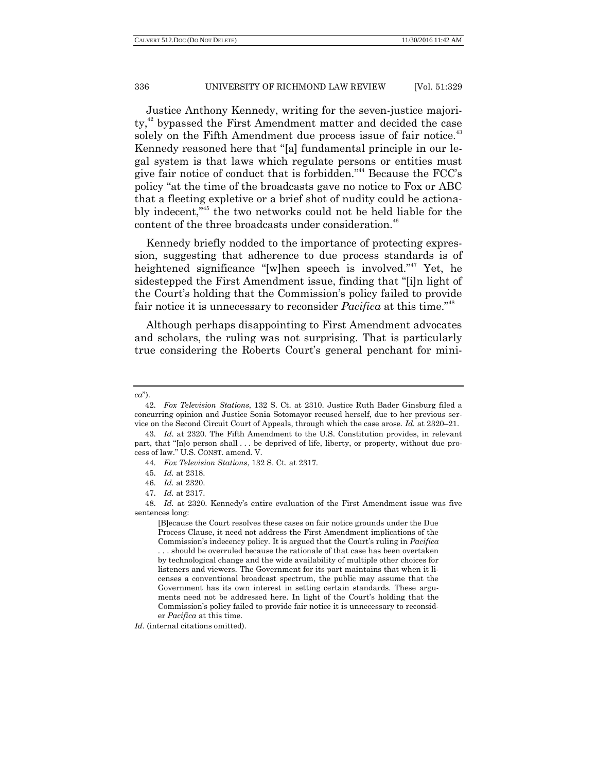Justice Anthony Kennedy, writing for the seven-justice majority,<sup>42</sup> bypassed the First Amendment matter and decided the case solely on the Fifth Amendment due process issue of fair notice.<sup>43</sup> Kennedy reasoned here that "[a] fundamental principle in our legal system is that laws which regulate persons or entities must give fair notice of conduct that is forbidden."<sup>44</sup> Because the FCC's policy "at the time of the broadcasts gave no notice to Fox or ABC that a fleeting expletive or a brief shot of nudity could be actionably indecent,"<sup>45</sup> the two networks could not be held liable for the content of the three broadcasts under consideration.<sup>46</sup>

Kennedy briefly nodded to the importance of protecting expression, suggesting that adherence to due process standards is of heightened significance "[w]hen speech is involved."<sup>47</sup> Yet, he sidestepped the First Amendment issue, finding that "[i]n light of the Court's holding that the Commission's policy failed to provide fair notice it is unnecessary to reconsider *Pacifica* at this time.<sup>748</sup>

Although perhaps disappointing to First Amendment advocates and scholars, the ruling was not surprising. That is particularly true considering the Roberts Court's general penchant for mini-

[B]ecause the Court resolves these cases on fair notice grounds under the Due Process Clause, it need not address the First Amendment implications of the Commission's indecency policy. It is argued that the Court's ruling in *Pacifica* . . . should be overruled because the rationale of that case has been overtaken by technological change and the wide availability of multiple other choices for listeners and viewers. The Government for its part maintains that when it licenses a conventional broadcast spectrum, the public may assume that the Government has its own interest in setting certain standards. These arguments need not be addressed here. In light of the Court's holding that the Commission's policy failed to provide fair notice it is unnecessary to reconsider *Pacifica* at this time.

*Id.* (internal citations omitted).

*ca*‖).

<sup>42.</sup> *Fox Television Stations*, 132 S. Ct. at 2310. Justice Ruth Bader Ginsburg filed a concurring opinion and Justice Sonia Sotomayor recused herself, due to her previous service on the Second Circuit Court of Appeals, through which the case arose. *Id.* at 2320–21.

<sup>43.</sup> *Id*. at 2320. The Fifth Amendment to the U.S. Constitution provides, in relevant part, that "[n]o person shall . . . be deprived of life, liberty, or property, without due process of law.‖ U.S. CONST. amend. V.

<sup>44.</sup> *Fox Television Stations*, 132 S. Ct. at 2317.

<sup>45.</sup> *Id.* at 2318.

<sup>46.</sup> *Id.* at 2320.

<sup>47.</sup> *Id.* at 2317.

<sup>48.</sup> *Id.* at 2320. Kennedy's entire evaluation of the First Amendment issue was five sentences long: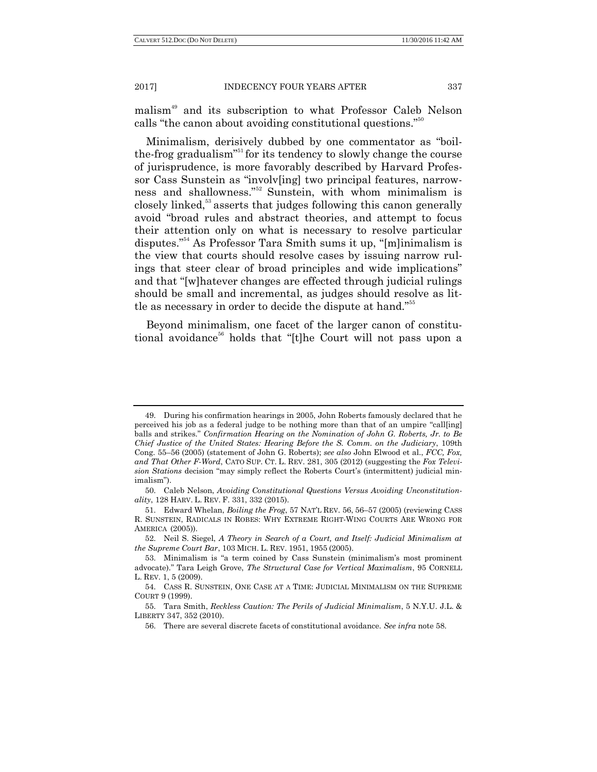malism<sup>49</sup> and its subscription to what Professor Caleb Nelson calls "the canon about avoiding constitutional questions." $50$ 

Minimalism, derisively dubbed by one commentator as "boilthe-frog gradualism<sup>351</sup> for its tendency to slowly change the course of jurisprudence, is more favorably described by Harvard Professor Cass Sunstein as "involv[ing] two principal features, narrowness and shallowness."<sup>52</sup> Sunstein, with whom minimalism is closely linked,<sup>53</sup> asserts that judges following this canon generally avoid "broad rules and abstract theories, and attempt to focus their attention only on what is necessary to resolve particular disputes.<sup> $54$ </sup> As Professor Tara Smith sums it up, "[m]inimalism is the view that courts should resolve cases by issuing narrow rulings that steer clear of broad principles and wide implications" and that "[w]hatever changes are effected through judicial rulings should be small and incremental, as judges should resolve as little as necessary in order to decide the dispute at hand.<sup>555</sup>

Beyond minimalism, one facet of the larger canon of constitutional avoidance<sup>56</sup> holds that "[t]he Court will not pass upon a

<sup>49.</sup> During his confirmation hearings in 2005, John Roberts famously declared that he perceived his job as a federal judge to be nothing more than that of an umpire "call[ing] balls and strikes." *Confirmation Hearing on the Nomination of John G. Roberts, Jr. to Be Chief Justice of the United States: Hearing Before the S. Comm. on the Judiciary*, 109th Cong. 55–56 (2005) (statement of John G. Roberts); *see also* John Elwood et al., *FCC, Fox, and That Other F-Word*, CATO SUP. CT. L. REV. 281, 305 (2012) (suggesting the *Fox Televi*sion Stations decision "may simply reflect the Roberts Court's (intermittent) judicial minimalism").

<sup>50.</sup> Caleb Nelson, *Avoiding Constitutional Questions Versus Avoiding Unconstitutionality*, 128 HARV. L. REV. F. 331, 332 (2015).

<sup>51.</sup> Edward Whelan, *Boiling the Frog*, 57 NAT'L REV. 56, 56–57 (2005) (reviewing CASS R. SUNSTEIN, RADICALS IN ROBES: WHY EXTREME RIGHT-WING COURTS ARE WRONG FOR AMERICA (2005))

<sup>52.</sup> Neil S. Siegel, *A Theory in Search of a Court, and Itself: Judicial Minimalism at the Supreme Court Bar*, 103 MICH. L. REV. 1951, 1955 (2005).

<sup>53.</sup> Minimalism is "a term coined by Cass Sunstein (minimalism's most prominent advocate).‖ Tara Leigh Grove, *The Structural Case for Vertical Maximalism*, 95 CORNELL L. REV. 1, 5 (2009).

<sup>54.</sup> CASS R. SUNSTEIN, ONE CASE AT A TIME: JUDICIAL MINIMALISM ON THE SUPREME COURT 9 (1999).

<sup>55.</sup> Tara Smith, *Reckless Caution: The Perils of Judicial Minimalism*, 5 N.Y.U. J.L. & LIBERTY 347, 352 (2010).

<sup>56.</sup> There are several discrete facets of constitutional avoidance. *See infra* note 58.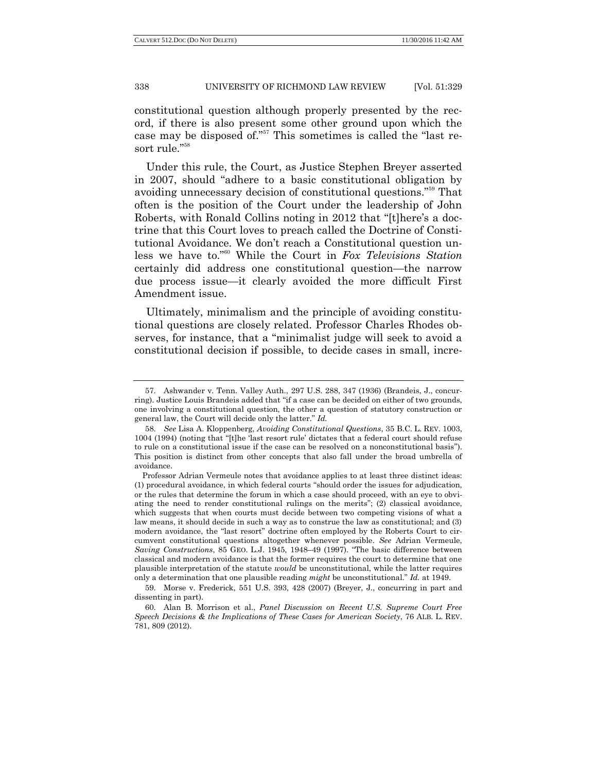constitutional question although properly presented by the record, if there is also present some other ground upon which the case may be disposed of."<sup>57</sup> This sometimes is called the "last resort rule."58

Under this rule, the Court, as Justice Stephen Breyer asserted in 2007, should "adhere to a basic constitutional obligation by avoiding unnecessary decision of constitutional questions."<sup>59</sup> That often is the position of the Court under the leadership of John Roberts, with Ronald Collins noting in 2012 that "[t]here's a doctrine that this Court loves to preach called the Doctrine of Constitutional Avoidance. We don't reach a Constitutional question unless we have to."<sup>60</sup> While the Court in *Fox Televisions Station* certainly did address one constitutional question—the narrow due process issue—it clearly avoided the more difficult First Amendment issue.

Ultimately, minimalism and the principle of avoiding constitutional questions are closely related. Professor Charles Rhodes observes, for instance, that a "minimalist judge will seek to avoid a constitutional decision if possible, to decide cases in small, incre-

<sup>57.</sup> Ashwander v. Tenn. Valley Auth., 297 U.S. 288, 347 (1936) (Brandeis, J., concurring). Justice Louis Brandeis added that "if a case can be decided on either of two grounds, one involving a constitutional question, the other a question of statutory construction or general law, the Court will decide only the latter." Id.

<sup>58.</sup> *See* Lisa A. Kloppenberg, *Avoiding Constitutional Questions*, 35 B.C. L. REV. 1003, 1004 (1994) (noting that "[t]he 'last resort rule' dictates that a federal court should refuse to rule on a constitutional issue if the case can be resolved on a nonconstitutional basis"). This position is distinct from other concepts that also fall under the broad umbrella of avoidance.

Professor Adrian Vermeule notes that avoidance applies to at least three distinct ideas: (1) procedural avoidance, in which federal courts "should order the issues for adjudication, or the rules that determine the forum in which a case should proceed, with an eye to obviating the need to render constitutional rulings on the merits"; (2) classical avoidance, which suggests that when courts must decide between two competing visions of what a law means, it should decide in such a way as to construe the law as constitutional; and (3) modern avoidance, the "last resort" doctrine often employed by the Roberts Court to circumvent constitutional questions altogether whenever possible. *See* Adrian Vermeule, *Saving Constructions*, 85 GEO. L.J. 1945, 1948–49 (1997). "The basic difference between classical and modern avoidance is that the former requires the court to determine that one plausible interpretation of the statute *would* be unconstitutional, while the latter requires only a determination that one plausible reading *might* be unconstitutional.‖ *Id.* at 1949.

<sup>59.</sup> Morse v. Frederick, 551 U.S. 393, 428 (2007) (Breyer, J., concurring in part and dissenting in part).

<sup>60.</sup> Alan B. Morrison et al., *Panel Discussion on Recent U.S. Supreme Court Free Speech Decisions & the Implications of These Cases for American Society*, 76 ALB. L. REV. 781, 809 (2012).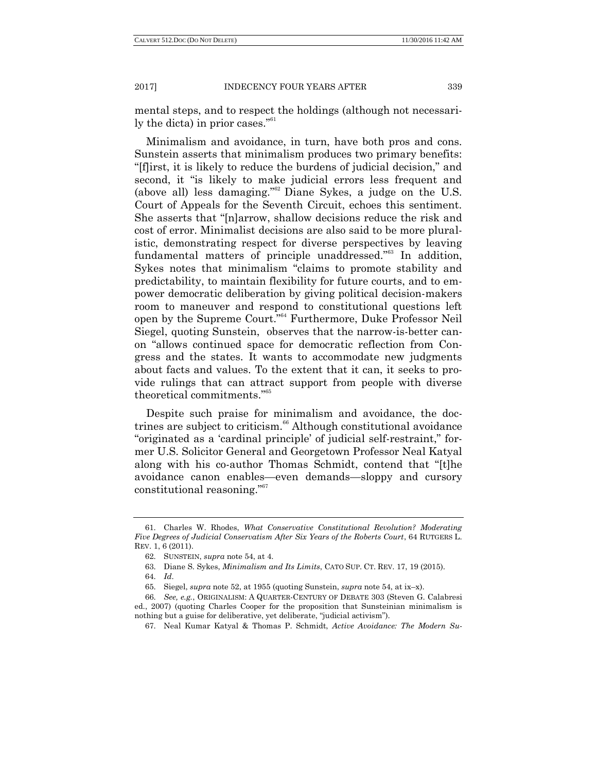mental steps, and to respect the holdings (although not necessarily the dicta) in prior cases."<sup>61</sup>

Minimalism and avoidance, in turn, have both pros and cons. Sunstein asserts that minimalism produces two primary benefits: ―[f]irst, it is likely to reduce the burdens of judicial decision,‖ and second, it "is likely to make judicial errors less frequent and (above all) less damaging.<sup>862</sup> Diane Sykes, a judge on the U.S. Court of Appeals for the Seventh Circuit, echoes this sentiment. She asserts that "[n]arrow, shallow decisions reduce the risk and cost of error. Minimalist decisions are also said to be more pluralistic, demonstrating respect for diverse perspectives by leaving fundamental matters of principle unaddressed."<sup>63</sup> In addition, Sykes notes that minimalism "claims to promote stability and predictability, to maintain flexibility for future courts, and to empower democratic deliberation by giving political decision-makers room to maneuver and respond to constitutional questions left open by the Supreme Court."<sup>64</sup> Furthermore, Duke Professor Neil Siegel, quoting Sunstein, observes that the narrow-is-better canon "allows continued space for democratic reflection from Congress and the states. It wants to accommodate new judgments about facts and values. To the extent that it can, it seeks to provide rulings that can attract support from people with diverse theoretical commitments."<sup>65</sup>

Despite such praise for minimalism and avoidance, the doctrines are subject to criticism.<sup>66</sup> Although constitutional avoidance "originated as a 'cardinal principle' of judicial self-restraint," former U.S. Solicitor General and Georgetown Professor Neal Katyal along with his co-author Thomas Schmidt, contend that "[t]he avoidance canon enables—even demands—sloppy and cursory constitutional reasoning."<sup>67</sup>

<sup>61.</sup> Charles W. Rhodes, *What Conservative Constitutional Revolution? Moderating Five Degrees of Judicial Conservatism After Six Years of the Roberts Court*, 64 RUTGERS L. REV. 1, 6 (2011).

<sup>62.</sup> SUNSTEIN, *supra* note 54, at 4.

<sup>63.</sup> Diane S. Sykes, *Minimalism and Its Limits*, CATO SUP. CT. REV. 17, 19 (2015).

<sup>64.</sup> *Id*.

<sup>65.</sup> Siegel, *supra* note 52, at 1955 (quoting Sunstein, *supra* note 54, at ix–x).

<sup>66.</sup> *See, e.g.*, ORIGINALISM: A QUARTER-CENTURY OF DEBATE 303 (Steven G. Calabresi ed., 2007) (quoting Charles Cooper for the proposition that Sunsteinian minimalism is nothing but a guise for deliberative, yet deliberate, "judicial activism").

<sup>67.</sup> Neal Kumar Katyal & Thomas P. Schmidt, *Active Avoidance: The Modern Su-*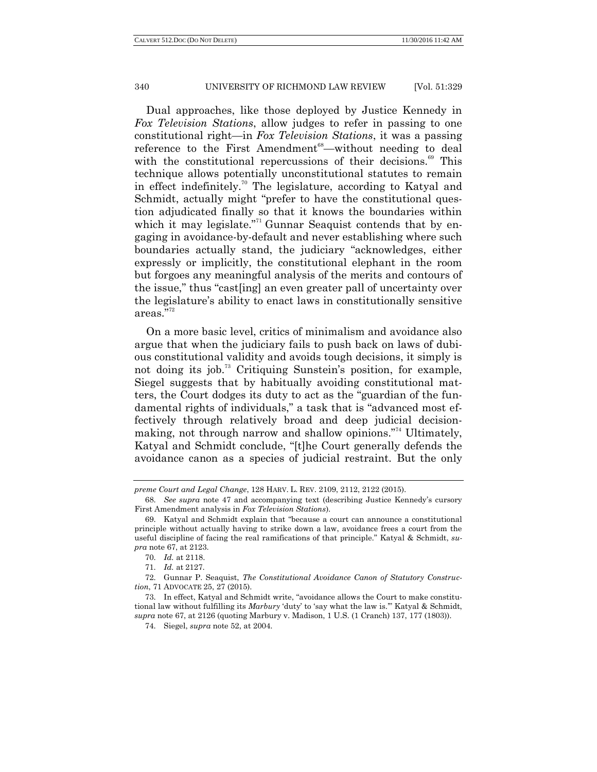Dual approaches, like those deployed by Justice Kennedy in *Fox Television Stations*, allow judges to refer in passing to one constitutional right—in *Fox Television Stations*, it was a passing reference to the First Amendment<sup>68</sup>—without needing to deal with the constitutional repercussions of their decisions.<sup>69</sup> This technique allows potentially unconstitutional statutes to remain in effect indefinitely.<sup>70</sup> The legislature, according to Katyal and Schmidt, actually might "prefer to have the constitutional question adjudicated finally so that it knows the boundaries within which it may legislate.<sup>71</sup> Gunnar Seaquist contends that by engaging in avoidance-by-default and never establishing where such boundaries actually stand, the judiciary "acknowledges, either expressly or implicitly, the constitutional elephant in the room but forgoes any meaningful analysis of the merits and contours of the issue," thus "cast [ing] an even greater pall of uncertainty over the legislature's ability to enact laws in constitutionally sensitive areas."<sup>72</sup>

On a more basic level, critics of minimalism and avoidance also argue that when the judiciary fails to push back on laws of dubious constitutional validity and avoids tough decisions, it simply is not doing its job.<sup>73</sup> Critiquing Sunstein's position, for example, Siegel suggests that by habitually avoiding constitutional matters, the Court dodges its duty to act as the "guardian of the fundamental rights of individuals," a task that is "advanced most effectively through relatively broad and deep judicial decisionmaking, not through narrow and shallow opinions."<sup>74</sup> Ultimately, Katyal and Schmidt conclude, "[t]he Court generally defends the avoidance canon as a species of judicial restraint. But the only

*preme Court and Legal Change*, 128 HARV. L. REV. 2109, 2112, 2122 (2015).

<sup>68.</sup> *See supra* note 47 and accompanying text (describing Justice Kennedy's cursory First Amendment analysis in *Fox Television Stations*).

<sup>69.</sup> Katyal and Schmidt explain that "because a court can announce a constitutional principle without actually having to strike down a law, avoidance frees a court from the useful discipline of facing the real ramifications of that principle." Katyal & Schmidt, *supra* note 67, at 2123.

<sup>70.</sup> *Id.* at 2118.

<sup>71.</sup> *Id.* at 2127.

<sup>72.</sup> Gunnar P. Seaquist, *The Constitutional Avoidance Canon of Statutory Construction*, 71 ADVOCATE 25, 27 (2015).

<sup>73.</sup> In effect, Katyal and Schmidt write, "avoidance allows the Court to make constitutional law without fulfilling its *Marbury* 'duty' to 'say what the law is." Katyal & Schmidt, *supra* note 67, at 2126 (quoting Marbury v. Madison, 1 U.S. (1 Cranch) 137, 177 (1803)).

<sup>74.</sup> Siegel, *supra* note 52, at 2004.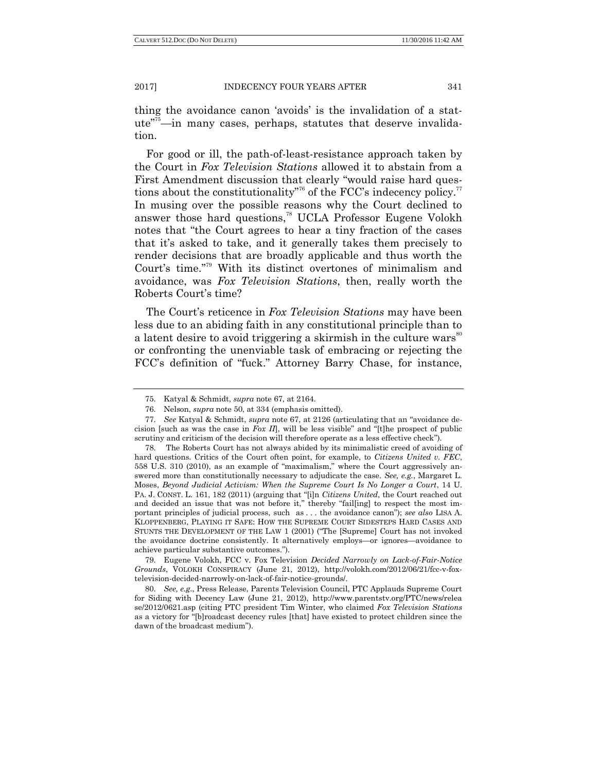thing the avoidance canon 'avoids' is the invalidation of a stat $ute^{75}$ —in many cases, perhaps, statutes that deserve invalidation.

For good or ill, the path-of-least-resistance approach taken by the Court in *Fox Television Stations* allowed it to abstain from a First Amendment discussion that clearly "would raise hard questions about the constitutionality<sup>776</sup> of the FCC's indecency policy.<sup>77</sup> In musing over the possible reasons why the Court declined to answer those hard questions,<sup>78</sup> UCLA Professor Eugene Volokh notes that "the Court agrees to hear a tiny fraction of the cases that it's asked to take, and it generally takes them precisely to render decisions that are broadly applicable and thus worth the Court's time."<sup>79</sup> With its distinct overtones of minimalism and avoidance, was *Fox Television Stations*, then, really worth the Roberts Court's time?

The Court's reticence in *Fox Television Stations* may have been less due to an abiding faith in any constitutional principle than to a latent desire to avoid triggering a skirmish in the culture wars<sup>80</sup> or confronting the unenviable task of embracing or rejecting the FCC's definition of "fuck." Attorney Barry Chase, for instance,

79. Eugene Volokh, FCC v. Fox Television *Decided Narrowly on Lack-of-Fair-Notice Grounds*, VOLOKH CONSPIRACY (June 21, 2012), http://volokh.com/2012/06/21/fcc-v-foxtelevision-decided-narrowly-on-lack-of-fair-notice-grounds/.

80. *See, e.g.*, Press Release, Parents Television Council, PTC Applauds Supreme Court for Siding with Decency Law (June 21, 2012), http://www.parentstv.org/PTC/news/relea se/2012/0621.asp (citing PTC president Tim Winter, who claimed *Fox Television Stations* as a victory for "[b]roadcast decency rules [that] have existed to protect children since the dawn of the broadcast medium".

<sup>75.</sup> Katyal & Schmidt, *supra* note 67, at 2164.

<sup>76.</sup> Nelson, *supra* note 50, at 334 (emphasis omitted).

<sup>77.</sup> *See Katyal & Schmidt, <i>supra* note 67, at 2126 (articulating that an "avoidance decision [such as was the case in  $F\alpha x II$ ], will be less visible" and "[t]he prospect of public scrutiny and criticism of the decision will therefore operate as a less effective check").

<sup>78.</sup> The Roberts Court has not always abided by its minimalistic creed of avoiding of hard questions. Critics of the Court often point, for example, to *Citizens United v. FEC*, 558 U.S. 310 (2010), as an example of "maximalism," where the Court aggressively answered more than constitutionally necessary to adjudicate the case. *See, e.g.*, Margaret L. Moses, *Beyond Judicial Activism: When the Supreme Court Is No Longer a Court*, 14 U. PA. J. CONST. L. 161, 182 (2011) (arguing that "[i]n *Citizens United*, the Court reached out and decided an issue that was not before it," thereby "fail[ing] to respect the most important principles of judicial process, such as . . . the avoidance canon"); *see also* LISA A. KLOPPENBERG, PLAYING IT SAFE: HOW THE SUPREME COURT SIDESTEPS HARD CASES AND STUNTS THE DEVELOPMENT OF THE LAW 1 (2001) ("The [Supreme] Court has not invoked the avoidance doctrine consistently. It alternatively employs—or ignores—avoidance to achieve particular substantive outcomes.‖).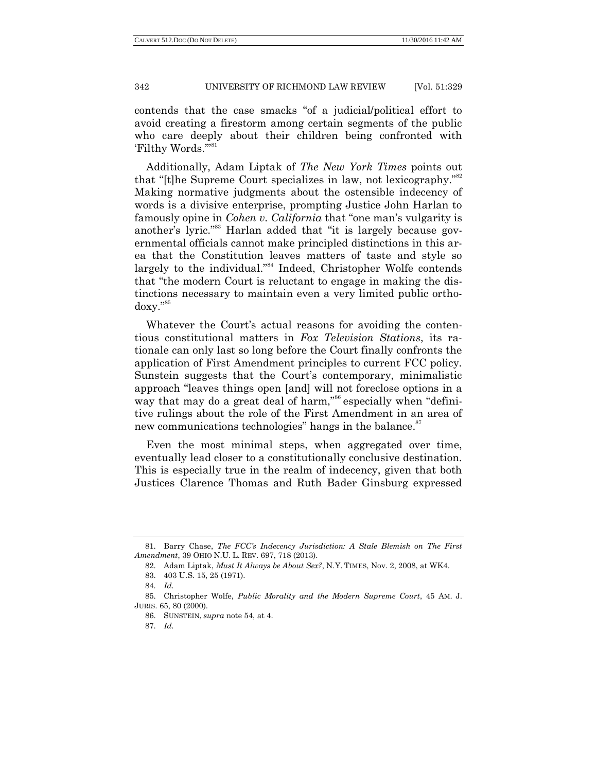contends that the case smacks "of a judicial/political effort to avoid creating a firestorm among certain segments of the public who care deeply about their children being confronted with 'Filthy Words."<sup>81</sup>

Additionally, Adam Liptak of *The New York Times* points out that "[t]he Supreme Court specializes in law, not lexicography."<sup>82</sup> Making normative judgments about the ostensible indecency of words is a divisive enterprise, prompting Justice John Harlan to famously opine in *Cohen v. California* that "one man's vulgarity is another's lyric."<sup>83</sup> Harlan added that "it is largely because governmental officials cannot make principled distinctions in this area that the Constitution leaves matters of taste and style so largely to the individual."<sup>84</sup> Indeed, Christopher Wolfe contends that "the modern Court is reluctant to engage in making the distinctions necessary to maintain even a very limited public ortho $d$ oxy." $85$ 

Whatever the Court's actual reasons for avoiding the contentious constitutional matters in *Fox Television Stations*, its rationale can only last so long before the Court finally confronts the application of First Amendment principles to current FCC policy. Sunstein suggests that the Court's contemporary, minimalistic approach "leaves things open [and] will not foreclose options in a way that may do a great deal of harm,"<sup>86</sup> especially when "definitive rulings about the role of the First Amendment in an area of new communications technologies" hangs in the balance.<sup>87</sup>

Even the most minimal steps, when aggregated over time, eventually lead closer to a constitutionally conclusive destination. This is especially true in the realm of indecency, given that both Justices Clarence Thomas and Ruth Bader Ginsburg expressed

<sup>81.</sup> Barry Chase, *The FCC"s Indecency Jurisdiction: A Stale Blemish on The First Amendment*, 39 OHIO N.U. L. REV. 697, 718 (2013).

<sup>82.</sup> Adam Liptak, *Must It Always be About Sex?*, N.Y. TIMES, Nov. 2, 2008, at WK4.

<sup>83.</sup> 403 U.S. 15, 25 (1971).

<sup>84.</sup> *Id.*

<sup>85.</sup> Christopher Wolfe, *Public Morality and the Modern Supreme Court*, 45 AM. J. JURIS. 65, 80 (2000).

<sup>86.</sup> SUNSTEIN, *supra* note 54, at 4.

<sup>87.</sup> *Id.*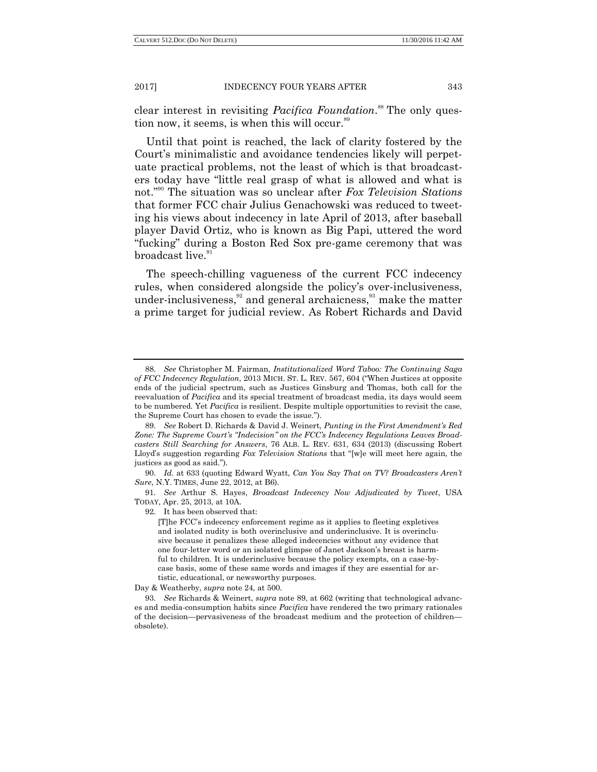clear interest in revisiting *Pacifica Foundation*. <sup>88</sup> The only question now, it seems, is when this will occur.<sup>89</sup>

Until that point is reached, the lack of clarity fostered by the Court's minimalistic and avoidance tendencies likely will perpetuate practical problems, not the least of which is that broadcasters today have "little real grasp of what is allowed and what is not."<sup>90</sup> The situation was so unclear after *Fox Television Stations* that former FCC chair Julius Genachowski was reduced to tweeting his views about indecency in late April of 2013, after baseball player David Ortiz, who is known as Big Papi, uttered the word ―fucking‖ during a Boston Red Sox pre-game ceremony that was broadcast live.<sup>91</sup>

The speech-chilling vagueness of the current FCC indecency rules, when considered alongside the policy's over-inclusiveness, under-inclusiveness,  $32$  and general archaicness,  $33$  make the matter a prime target for judicial review. As Robert Richards and David

91. *See* Arthur S. Hayes, *Broadcast Indecency Now Adjudicated by Tweet*, USA TODAY, Apr. 25, 2013, at 10A.

92. It has been observed that:

[T]he FCC's indecency enforcement regime as it applies to fleeting expletives and isolated nudity is both overinclusive and underinclusive. It is overinclusive because it penalizes these alleged indecencies without any evidence that one four-letter word or an isolated glimpse of Janet Jackson's breast is harmful to children. It is underinclusive because the policy exempts, on a case-bycase basis, some of these same words and images if they are essential for artistic, educational, or newsworthy purposes.

Day & Weatherby, *supra* note 24, at 500.

<sup>88.</sup> *See* Christopher M. Fairman, *Institutionalized Word Taboo: The Continuing Saga of FCC Indecency Regulation*, 2013 MICH. ST. L. REV. 567, 604 ("When Justices at opposite ends of the judicial spectrum, such as Justices Ginsburg and Thomas, both call for the reevaluation of *Pacifica* and its special treatment of broadcast media, its days would seem to be numbered. Yet *Pacifica* is resilient. Despite multiple opportunities to revisit the case, the Supreme Court has chosen to evade the issue.").

<sup>89.</sup> *See* Robert D. Richards & David J. Weinert, *Punting in the First Amendment"s Red Zone: The Supreme Court"s "Indecision" on the FCC"s Indecency Regulations Leaves Broadcasters Still Searching for Answers*, 76 ALB. L. REV. 631, 634 (2013) (discussing Robert Lloyd's suggestion regarding *Fox Television Stations* that "[w]e will meet here again, the justices as good as said.‖).

<sup>90.</sup> *Id.* at 633 (quoting Edward Wyatt, *Can You Say That on TV? Broadcasters Aren"t Sure*, N.Y. TIMES, June 22, 2012, at B6).

<sup>93.</sup> *See* Richards & Weinert, *supra* note 89, at 662 (writing that technological advances and media-consumption habits since *Pacifica* have rendered the two primary rationales of the decision—pervasiveness of the broadcast medium and the protection of children obsolete).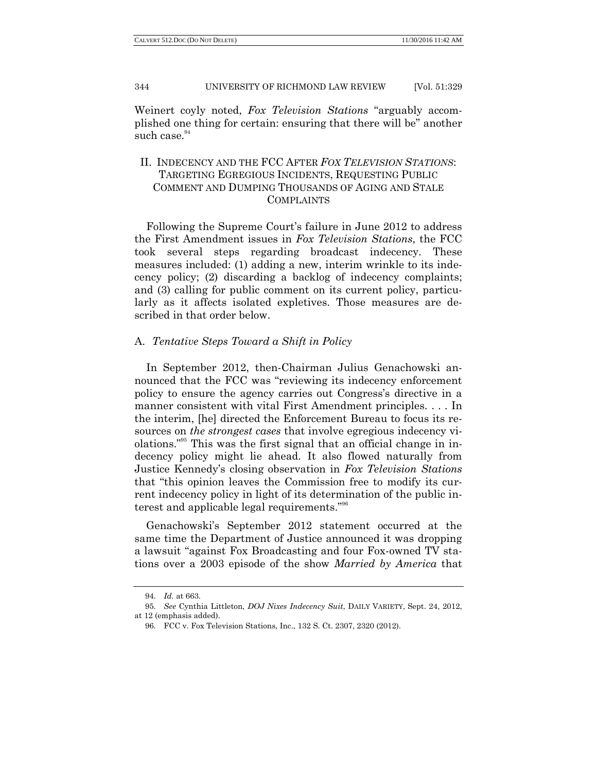Weinert coyly noted, *Fox Television Stations* "arguably accomplished one thing for certain: ensuring that there will be" another such case.<sup>94</sup>

# II. INDECENCY AND THE FCC AFTER *FOX TELEVISION STATIONS*: TARGETING EGREGIOUS INCIDENTS, REQUESTING PUBLIC COMMENT AND DUMPING THOUSANDS OF AGING AND STALE COMPLAINTS

Following the Supreme Court's failure in June 2012 to address the First Amendment issues in *Fox Television Stations*, the FCC took several steps regarding broadcast indecency. These measures included: (1) adding a new, interim wrinkle to its indecency policy; (2) discarding a backlog of indecency complaints; and (3) calling for public comment on its current policy, particularly as it affects isolated expletives. Those measures are described in that order below.

## A. *Tentative Steps Toward a Shift in Policy*

In September 2012, then-Chairman Julius Genachowski announced that the FCC was "reviewing its indecency enforcement policy to ensure the agency carries out Congress's directive in a manner consistent with vital First Amendment principles. . . . In the interim, [he] directed the Enforcement Bureau to focus its resources on *the strongest cases* that involve egregious indecency violations."<sup>95</sup> This was the first signal that an official change in indecency policy might lie ahead. It also flowed naturally from Justice Kennedy's closing observation in *Fox Television Stations* that "this opinion leaves the Commission free to modify its current indecency policy in light of its determination of the public interest and applicable legal requirements."<sup>96</sup>

Genachowski's September 2012 statement occurred at the same time the Department of Justice announced it was dropping a lawsuit "against Fox Broadcasting and four Fox-owned TV stations over a 2003 episode of the show *Married by America* that

<sup>94.</sup> *Id.* at 663.

<sup>95.</sup> *See* Cynthia Littleton, *DOJ Nixes Indecency Suit*, DAILY VARIETY, Sept. 24, 2012, at 12 (emphasis added).

<sup>96.</sup> FCC v. Fox Television Stations, Inc., 132 S. Ct. 2307, 2320 (2012).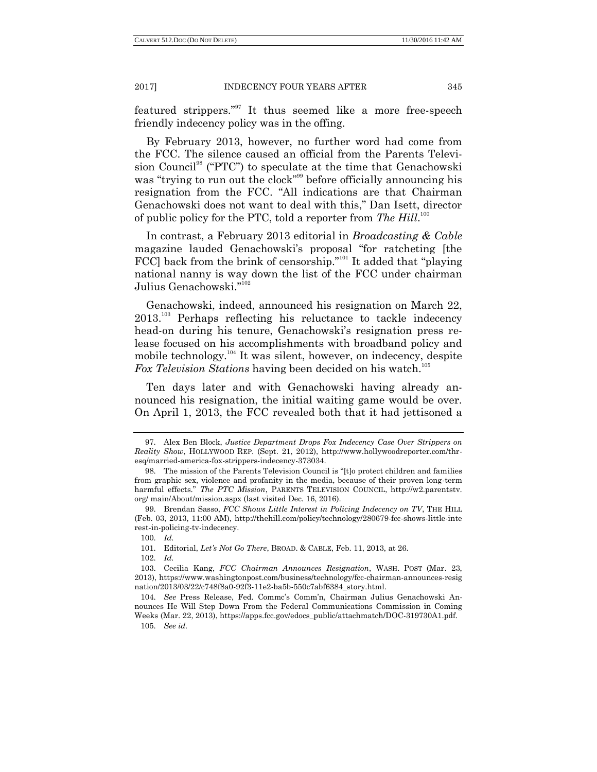featured strippers."<sup>97</sup> It thus seemed like a more free-speech friendly indecency policy was in the offing.

By February 2013, however, no further word had come from the FCC. The silence caused an official from the Parents Television Council<sup>98</sup> ("PTC") to speculate at the time that Genachowski was "trying to run out the clock"<sup>99</sup> before officially announcing his resignation from the FCC. "All indications are that Chairman Genachowski does not want to deal with this," Dan Isett, director of public policy for the PTC, told a reporter from *The Hill*.<sup>100</sup>

In contrast, a February 2013 editorial in *Broadcasting & Cable* magazine lauded Genachowski's proposal "for ratcheting [the FCC] back from the brink of censorship."<sup>101</sup> It added that "playing" national nanny is way down the list of the FCC under chairman Julius Genachowski."<sup>102</sup>

Genachowski, indeed, announced his resignation on March 22, 2013.<sup>103</sup> Perhaps reflecting his reluctance to tackle indecency head-on during his tenure, Genachowski's resignation press release focused on his accomplishments with broadband policy and mobile technology.<sup>104</sup> It was silent, however, on indecency, despite *Fox Television Stations* having been decided on his watch.<sup>105</sup>

Ten days later and with Genachowski having already announced his resignation, the initial waiting game would be over. On April 1, 2013, the FCC revealed both that it had jettisoned a

102. *Id.*

<sup>97.</sup> Alex Ben Block, *Justice Department Drops Fox Indecency Case Over Strippers on Reality Show*, HOLLYWOOD REP. (Sept. 21, 2012), http://www.hollywoodreporter.com/thresq/married-america-fox-strippers-indecency-373034.

<sup>98.</sup> The mission of the Parents Television Council is "[t]o protect children and families from graphic sex, violence and profanity in the media, because of their proven long-term harmful effects.‖ *The PTC Mission*, PARENTS TELEVISION COUNCIL, http://w2.parentstv. org/ main/About/mission.aspx (last visited Dec. 16, 2016).

<sup>99.</sup> Brendan Sasso, *FCC Shows Little Interest in Policing Indecency on TV*, THE HILL (Feb. 03, 2013, 11:00 AM), http://thehill.com/policy/technology/280679-fcc-shows-little-inte rest-in-policing-tv-indecency.

<sup>100.</sup> *Id.*

<sup>101.</sup> Editorial, *Let"s Not Go There*, BROAD. & CABLE, Feb. 11, 2013, at 26.

<sup>103.</sup> Cecilia Kang, *FCC Chairman Announces Resignation*, WASH. POST (Mar. 23, 2013), https://www.washingtonpost.com/business/technology/fcc-chairman-announces-resig nation/2013/03/22/c748f8a0-92f3-11e2-ba5b-550c7abf6384\_story.html.

<sup>104.</sup> *See* Press Release, Fed. Commc's Comm'n, Chairman Julius Genachowski Announces He Will Step Down From the Federal Communications Commission in Coming Weeks (Mar. 22, 2013), https://apps.fcc.gov/edocs\_public/attachmatch/DOC-319730A1.pdf.

<sup>105.</sup> *See id.*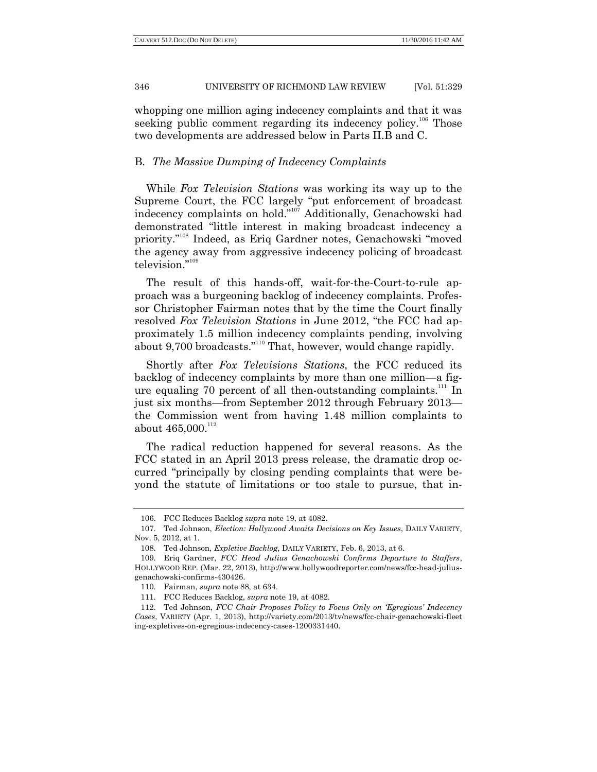whopping one million aging indecency complaints and that it was seeking public comment regarding its indecency policy.<sup>106</sup> Those two developments are addressed below in Parts II.B and C.

# B. *The Massive Dumping of Indecency Complaints*

While *Fox Television Stations* was working its way up to the Supreme Court, the FCC largely "put enforcement of broadcast indecency complaints on hold.<sup>"107</sup> Additionally, Genachowski had demonstrated "little interest in making broadcast indecency a priority."<sup>108</sup> Indeed, as Eriq Gardner notes, Genachowski "moved" the agency away from aggressive indecency policing of broadcast television."109

The result of this hands-off, wait-for-the-Court-to-rule approach was a burgeoning backlog of indecency complaints. Professor Christopher Fairman notes that by the time the Court finally resolved *Fox Television Stations* in June 2012, "the FCC had approximately 1.5 million indecency complaints pending, involving about  $9,700$  broadcasts."<sup>110</sup> That, however, would change rapidly.

Shortly after *Fox Televisions Stations*, the FCC reduced its backlog of indecency complaints by more than one million—a figure equaling 70 percent of all then-outstanding complaints.<sup>111</sup> In just six months—from September 2012 through February 2013 the Commission went from having 1.48 million complaints to about  $465,000$ .<sup>112</sup>

The radical reduction happened for several reasons. As the FCC stated in an April 2013 press release, the dramatic drop occurred "principally by closing pending complaints that were beyond the statute of limitations or too stale to pursue, that in-

<sup>106.</sup> FCC Reduces Backlog *supra* note 19, at 4082.

<sup>107.</sup> Ted Johnson, *Election: Hollywood Awaits Decisions on Key Issues*, DAILY VARIETY, Nov. 5, 2012, at 1.

<sup>108.</sup> Ted Johnson, *Expletive Backlog*, DAILY VARIETY, Feb. 6, 2013, at 6.

<sup>109.</sup> Eriq Gardner, *FCC Head Julius Genachowski Confirms Departure to Staffers*, HOLLYWOOD REP. (Mar. 22, 2013)[, http://www.hollywoodreporter.com/news/fcc-head-julius](http://www.hollywoodreporter.com/news/fcc-head-julius-genachowski-confirms-430426)[genachowski-confirms-430426.](http://www.hollywoodreporter.com/news/fcc-head-julius-genachowski-confirms-430426)

<sup>110.</sup> Fairman, *supra* note 88, at 634.

<sup>111.</sup> FCC Reduces Backlog, *supra* note 19, at 4082.

<sup>112.</sup> Ted Johnson, *FCC Chair Proposes Policy to Focus Only on "Egregious" Indecency Cases*, VARIETY (Apr. 1, 2013), http://variety.com/2013/tv/news/fcc-chair-genachowski-fleet ing-expletives-on-egregious-indecency-cases-1200331440.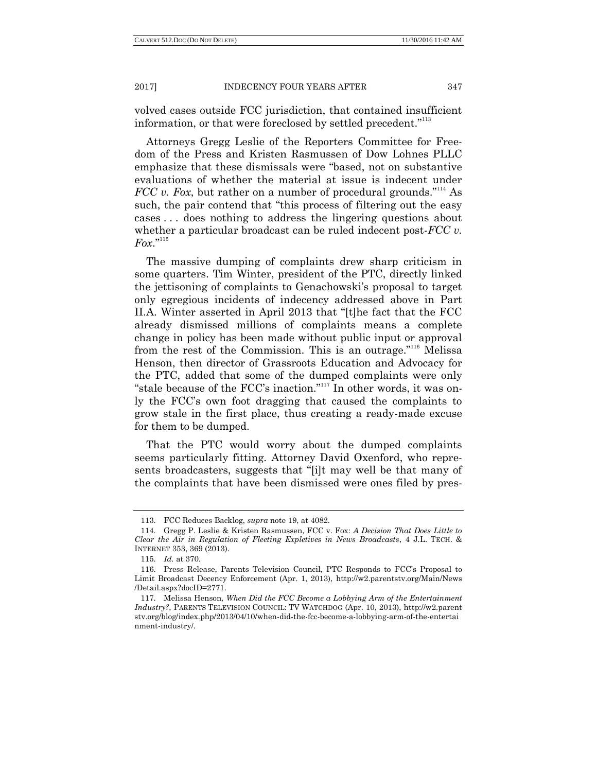volved cases outside FCC jurisdiction, that contained insufficient information, or that were foreclosed by settled precedent."<sup>113</sup>

Attorneys Gregg Leslie of the Reporters Committee for Freedom of the Press and Kristen Rasmussen of Dow Lohnes PLLC emphasize that these dismissals were "based, not on substantive evaluations of whether the material at issue is indecent under *FCC v. Fox,* but rather on a number of procedural grounds."<sup>114</sup> As such, the pair contend that "this process of filtering out the easy cases . . . does nothing to address the lingering questions about whether a particular broadcast can be ruled indecent post-*FCC v.*   $F_{0}x$ ."115

The massive dumping of complaints drew sharp criticism in some quarters. Tim Winter, president of the PTC, directly linked the jettisoning of complaints to Genachowski's proposal to target only egregious incidents of indecency addressed above in Part II.A. Winter asserted in April 2013 that "[t]he fact that the FCC already dismissed millions of complaints means a complete change in policy has been made without public input or approval from the rest of the Commission. This is an outrage."<sup>116</sup> Melissa Henson, then director of Grassroots Education and Advocacy for the PTC, added that some of the dumped complaints were only "stale because of the FCC's inaction."<sup>117</sup> In other words, it was only the FCC's own foot dragging that caused the complaints to grow stale in the first place, thus creating a ready-made excuse for them to be dumped.

That the PTC would worry about the dumped complaints seems particularly fitting. Attorney David Oxenford, who represents broadcasters, suggests that "[i]t may well be that many of the complaints that have been dismissed were ones filed by pres-

<sup>113.</sup> FCC Reduces Backlog, *supra* note 19, at 4082.

<sup>114.</sup> Gregg P. Leslie & Kristen Rasmussen, FCC v. Fox: *A Decision That Does Little to Clear the Air in Regulation of Fleeting Expletives in News Broadcasts*, 4 J.L. TECH. & INTERNET 353, 369 (2013).

<sup>115.</sup> *Id.* at 370.

<sup>116.</sup> Press Release, Parents Television Council, PTC Responds to FCC's Proposal to Limit Broadcast Decency Enforcement (Apr. 1, 2013), http://w2.parentstv.org/Main/News /Detail.aspx?docID=2771.

<sup>117.</sup> Melissa Henson, *When Did the FCC Become a Lobbying Arm of the Entertainment Industry?*, PARENTS TELEVISION COUNCIL: TV WATCHDOG (Apr. 10, 2013), http://w2.parent stv.org/blog/index.php/2013/04/10/when-did-the-fcc-become-a-lobbying-arm-of-the-entertai nment-industry/.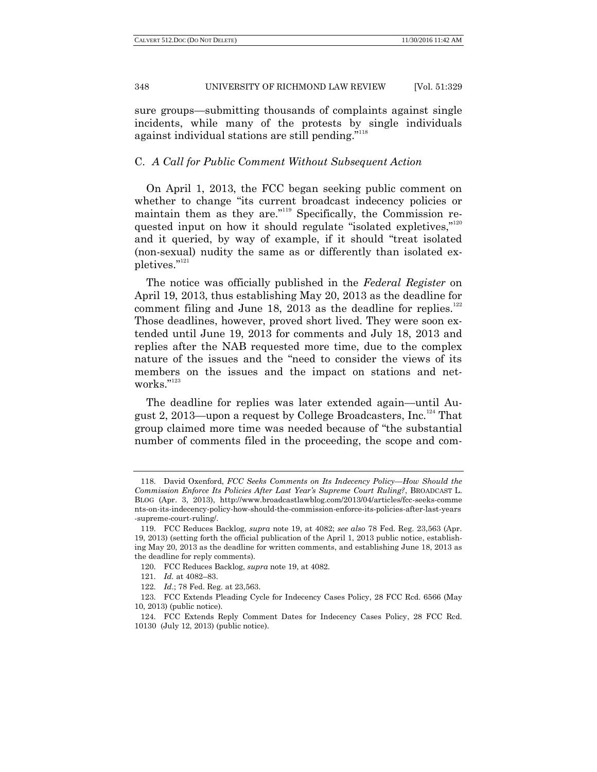sure groups—submitting thousands of complaints against single incidents, while many of the protests by single individuals against individual stations are still pending."<sup>118</sup>

# C. *A Call for Public Comment Without Subsequent Action*

On April 1, 2013, the FCC began seeking public comment on whether to change "its current broadcast indecency policies or maintain them as they are."<sup>119</sup> Specifically, the Commission requested input on how it should regulate "isolated expletives," $120$ and it queried, by way of example, if it should "treat isolated (non-sexual) nudity the same as or differently than isolated expletives."<sup>121</sup>

The notice was officially published in the *Federal Register* on April 19, 2013, thus establishing May 20, 2013 as the deadline for comment filing and June 18, 2013 as the deadline for replies. $122$ Those deadlines, however, proved short lived. They were soon extended until June 19, 2013 for comments and July 18, 2013 and replies after the NAB requested more time, due to the complex nature of the issues and the "need to consider the views of its members on the issues and the impact on stations and networks."123

The deadline for replies was later extended again—until August 2, 2013—upon a request by College Broadcasters, Inc.<sup>124</sup> That group claimed more time was needed because of "the substantial" number of comments filed in the proceeding, the scope and com-

<sup>118.</sup> David Oxenford, *FCC Seeks Comments on Its Indecency Policy—How Should the Commission Enforce Its Policies After Last Year"s Supreme Court Ruling?*, BROADCAST L. BLOG (Apr. 3, 2013), http://www.broadcastlawblog.com/2013/04/articles/fcc-seeks-comme nts-on-its-indecency-policy-how-should-the-commission-enforce-its-policies-after-last-years -supreme-court-ruling/.

<sup>119.</sup> FCC Reduces Backlog, *supra* note 19, at 4082; *see also* 78 Fed. Reg. 23,563 (Apr. 19, 2013) (setting forth the official publication of the April 1, 2013 public notice, establishing May 20, 2013 as the deadline for written comments, and establishing June 18, 2013 as the deadline for reply comments).

<sup>120.</sup> FCC Reduces Backlog, *supra* note 19, at 4082.

<sup>121.</sup> *Id.* at 4082–83.

<sup>122.</sup> *Id*.; 78 Fed. Reg. at 23,563.

<sup>123.</sup> FCC Extends Pleading Cycle for Indecency Cases Policy, 28 FCC Rcd. 6566 (May 10, 2013) (public notice).

<sup>124.</sup> FCC Extends Reply Comment Dates for Indecency Cases Policy, 28 FCC Rcd. 10130 (July 12, 2013) (public notice).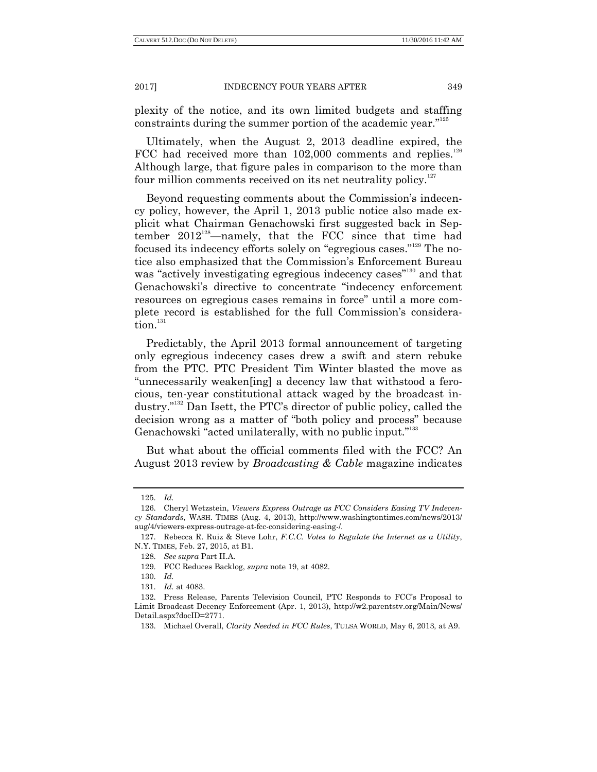plexity of the notice, and its own limited budgets and staffing constraints during the summer portion of the academic year."<sup>125</sup>

Ultimately, when the August 2, 2013 deadline expired, the FCC had received more than  $102,000$  comments and replies.<sup>126</sup> Although large, that figure pales in comparison to the more than four million comments received on its net neutrality policy. $127$ 

Beyond requesting comments about the Commission's indecency policy, however, the April 1, 2013 public notice also made explicit what Chairman Genachowski first suggested back in September  $2012^{128}$ -namely, that the FCC since that time had focused its indecency efforts solely on "egregious cases."<sup>129</sup> The notice also emphasized that the Commission's Enforcement Bureau was "actively investigating egregious indecency cases"<sup>130</sup> and that Genachowski's directive to concentrate "indecency enforcement resources on egregious cases remains in force" until a more complete record is established for the full Commission's considera- $\int$ tion<sup>131</sup>

Predictably, the April 2013 formal announcement of targeting only egregious indecency cases drew a swift and stern rebuke from the PTC. PTC President Tim Winter blasted the move as ―unnecessarily weaken[ing] a decency law that withstood a ferocious, ten-year constitutional attack waged by the broadcast industry."<sup>132</sup> Dan Isett, the PTC's director of public policy, called the decision wrong as a matter of "both policy and process" because Genachowski "acted unilaterally, with no public input."<sup>133</sup>

But what about the official comments filed with the FCC? An August 2013 review by *Broadcasting & Cable* magazine indicates

<sup>125.</sup> *Id.*

<sup>126.</sup> Cheryl Wetzstein, *Viewers Express Outrage as FCC Considers Easing TV Indecency Standards*, WASH. TIMES (Aug. 4, 2013), http://www.washingtontimes.com/news/2013/ aug/4/viewers-express-outrage-at-fcc-considering-easing-/.

<sup>127.</sup> Rebecca R. Ruiz & Steve Lohr, *F.C.C. Votes to Regulate the Internet as a Utility*, N.Y. TIMES, Feb. 27, 2015, at B1.

<sup>128.</sup> *See supra* Part II.A.

<sup>129.</sup> FCC Reduces Backlog, *supra* note 19, at 4082.

<sup>130.</sup> *Id.*

<sup>131.</sup> *Id.* at 4083.

<sup>132.</sup> Press Release, Parents Television Council, PTC Responds to FCC's Proposal to Limit Broadcast Decency Enforcement (Apr. 1, 2013), http://w2.parentstv.org/Main/News/ Detail.aspx?docID=2771.

<sup>133.</sup> Michael Overall, *Clarity Needed in FCC Rules*, TULSA WORLD, May 6, 2013, at A9.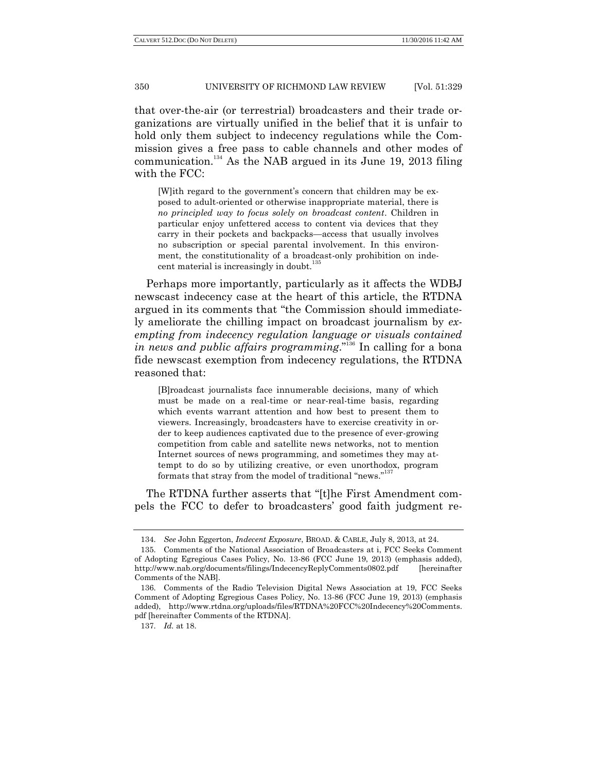that over-the-air (or terrestrial) broadcasters and their trade organizations are virtually unified in the belief that it is unfair to hold only them subject to indecency regulations while the Commission gives a free pass to cable channels and other modes of communication.<sup>134</sup> As the NAB argued in its June 19, 2013 filing with the FCC:

[W]ith regard to the government's concern that children may be exposed to adult-oriented or otherwise inappropriate material, there is *no principled way to focus solely on broadcast content*. Children in particular enjoy unfettered access to content via devices that they carry in their pockets and backpacks—access that usually involves no subscription or special parental involvement. In this environment, the constitutionality of a broadcast-only prohibition on indecent material is increasingly in doubt.

Perhaps more importantly, particularly as it affects the WDBJ newscast indecency case at the heart of this article, the RTDNA argued in its comments that "the Commission should immediately ameliorate the chilling impact on broadcast journalism by *exempting from indecency regulation language or visuals contained in news and public affairs programming.*<sup>3136</sup> In calling for a bona fide newscast exemption from indecency regulations, the RTDNA reasoned that:

[B]roadcast journalists face innumerable decisions, many of which must be made on a real-time or near-real-time basis, regarding which events warrant attention and how best to present them to viewers. Increasingly, broadcasters have to exercise creativity in order to keep audiences captivated due to the presence of ever-growing competition from cable and satellite news networks, not to mention Internet sources of news programming, and sometimes they may attempt to do so by utilizing creative, or even unorthodox, program formats that stray from the model of traditional "news."

The RTDNA further asserts that "[t]he First Amendment compels the FCC to defer to broadcasters' good faith judgment re-

<sup>134.</sup> *See* John Eggerton, *Indecent Exposure*, BROAD. & CABLE, July 8, 2013, at 24.

<sup>135.</sup> Comments of the National Association of Broadcasters at i, FCC Seeks Comment of Adopting Egregious Cases Policy, No. 13-86 (FCC June 19, 2013) (emphasis added), http://www.nab.org/documents/filings/IndecencyReplyComments0802.pdf [hereinafter Comments of the NAB].

<sup>136.</sup> Comments of the Radio Television Digital News Association at 19, FCC Seeks Comment of Adopting Egregious Cases Policy, No. 13-86 (FCC June 19, 2013) (emphasis added), http://www.rtdna.org/uploads/files/RTDNA%20FCC%20Indecency%20Comments. pdf [hereinafter Comments of the RTDNA].

<sup>137.</sup> *Id.* at 18.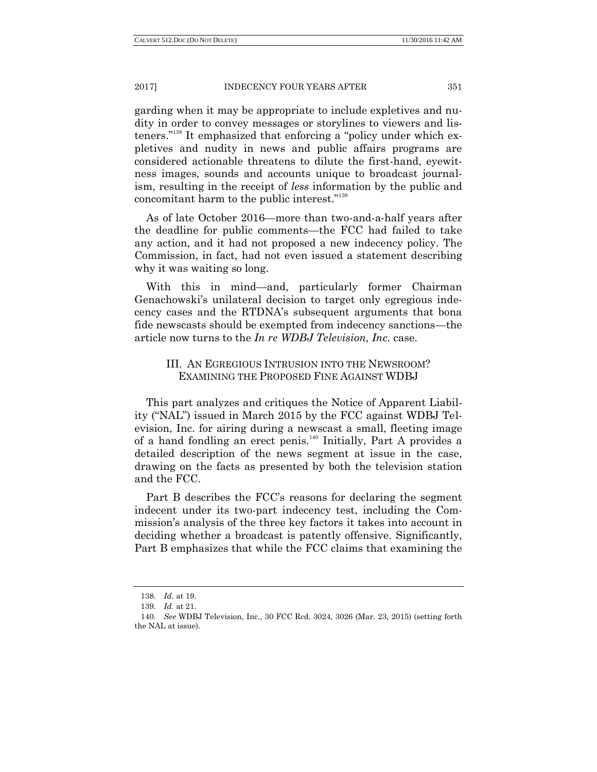garding when it may be appropriate to include expletives and nudity in order to convey messages or storylines to viewers and listeners."<sup>138</sup> It emphasized that enforcing a "policy under which expletives and nudity in news and public affairs programs are considered actionable threatens to dilute the first-hand, eyewitness images, sounds and accounts unique to broadcast journalism, resulting in the receipt of *less* information by the public and concomitant harm to the public interest."<sup>139</sup>

As of late October 2016—more than two-and-a-half years after the deadline for public comments—the FCC had failed to take any action, and it had not proposed a new indecency policy. The Commission, in fact, had not even issued a statement describing why it was waiting so long.

With this in mind—and, particularly former Chairman Genachowski's unilateral decision to target only egregious indecency cases and the RTDNA's subsequent arguments that bona fide newscasts should be exempted from indecency sanctions—the article now turns to the *In re WDBJ Television, Inc.* case.

# III. AN EGREGIOUS INTRUSION INTO THE NEWSROOM? EXAMINING THE PROPOSED FINE AGAINST WDBJ

This part analyzes and critiques the Notice of Apparent Liability ("NAL") issued in March 2015 by the FCC against WDBJ Television, Inc. for airing during a newscast a small, fleeting image of a hand fondling an erect penis.<sup>140</sup> Initially, Part A provides a detailed description of the news segment at issue in the case, drawing on the facts as presented by both the television station and the FCC.

Part B describes the FCC's reasons for declaring the segment indecent under its two-part indecency test, including the Commission's analysis of the three key factors it takes into account in deciding whether a broadcast is patently offensive. Significantly, Part B emphasizes that while the FCC claims that examining the

<sup>138.</sup> *Id.* at 19.

<sup>139.</sup> *Id.* at 21.

<sup>140.</sup> *See* WDBJ Television, Inc., 30 FCC Rcd. 3024, 3026 (Mar. 23, 2015) (setting forth the NAL at issue).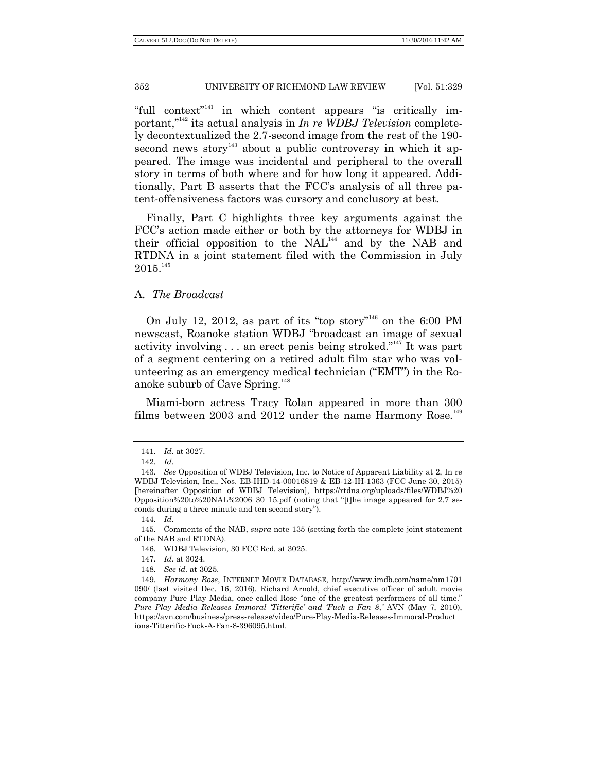"full context"<sup>141</sup> in which content appears "is critically important,<sup>"142</sup> its actual analysis in *In re WDBJ Television* completely decontextualized the 2.7-second image from the rest of the 190 second news story $143}$  about a public controversy in which it appeared. The image was incidental and peripheral to the overall story in terms of both where and for how long it appeared. Additionally, Part B asserts that the FCC's analysis of all three patent-offensiveness factors was cursory and conclusory at best.

Finally, Part C highlights three key arguments against the FCC's action made either or both by the attorneys for WDBJ in their official opposition to the  $NAL<sup>144</sup>$  and by the NAB and RTDNA in a joint statement filed with the Commission in July  $2015.<sup>145</sup>$ 

# A. *The Broadcast*

On July 12, 2012, as part of its "top story"<sup>146</sup> on the 6:00 PM newscast, Roanoke station WDBJ "broadcast an image of sexual activity involving  $\ldots$  an erect penis being stroked.<sup>"147</sup> It was part of a segment centering on a retired adult film star who was volunteering as an emergency medical technician ("EMT") in the Roanoke suburb of Cave Spring.<sup>148</sup>

Miami-born actress Tracy Rolan appeared in more than 300 films between 2003 and 2012 under the name Harmony Rose.<sup>149</sup>

<sup>141.</sup> *Id.* at 3027.

<sup>142.</sup> *Id.*

<sup>143.</sup> *See* Opposition of WDBJ Television, Inc. to Notice of Apparent Liability at 2, In re WDBJ Television, Inc., Nos. EB-IHD-14-00016819 & EB-12-IH-1363 (FCC June 30, 2015) [hereinafter Opposition of WDBJ Television], https://rtdna.org/uploads/files/WDBJ%20 Opposition%20to%20NAL%2006\_30\_15.pdf (noting that "[t]he image appeared for  $2.7$  seconds during a three minute and ten second story").

<sup>144.</sup> *Id.*

<sup>145.</sup> Comments of the NAB, *supra* note 135 (setting forth the complete joint statement of the NAB and RTDNA).

<sup>146.</sup> WDBJ Television, 30 FCC Rcd. at 3025.

<sup>147.</sup> *Id.* at 3024.

<sup>148.</sup> *See id.* at 3025.

<sup>149.</sup> *Harmony Rose*, INTERNET MOVIE DATABASE, http://www.imdb.com/name/nm1701 090/ (last visited Dec. 16, 2016). Richard Arnold, chief executive officer of adult movie company Pure Play Media, once called Rose "one of the greatest performers of all time." *Pure Play Media Releases Immoral "Titterific" and "Fuck a Fan 8*,*"* AVN (May 7, 2010), https://avn.com/business/press-release/video/Pure-Play-Media-Releases-Immoral-Product ions-Titterific-Fuck-A-Fan-8-396095.html.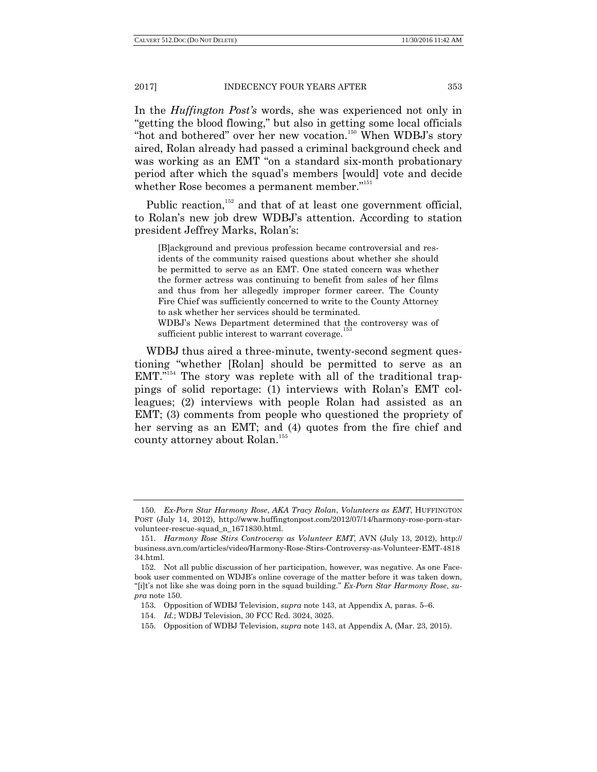In the *Huffington Post"s* words, she was experienced not only in "getting the blood flowing," but also in getting some local officials "hot and bothered" over her new vocation.<sup>150</sup> When WDBJ's story aired, Rolan already had passed a criminal background check and was working as an EMT "on a standard six-month probationary period after which the squad's members [would] vote and decide whether Rose becomes a permanent member."<sup>151</sup>

Public reaction,<sup>152</sup> and that of at least one government official, to Rolan's new job drew WDBJ's attention. According to station president Jeffrey Marks, Rolan's:

[B]ackground and previous profession became controversial and residents of the community raised questions about whether she should be permitted to serve as an EMT. One stated concern was whether the former actress was continuing to benefit from sales of her films and thus from her allegedly improper former career. The County Fire Chief was sufficiently concerned to write to the County Attorney to ask whether her services should be terminated. WDBJ's News Department determined that the controversy was of

sufficient public interest to warrant coverage.<sup>1</sup>

WDBJ thus aired a three-minute, twenty-second segment questioning "whether [Rolan] should be permitted to serve as an  $EMT.<sup>154</sup>$  The story was replete with all of the traditional trappings of solid reportage: (1) interviews with Rolan's EMT colleagues; (2) interviews with people Rolan had assisted as an EMT; (3) comments from people who questioned the propriety of her serving as an EMT; and (4) quotes from the fire chief and county attorney about Rolan.<sup>155</sup>

<sup>150.</sup> *Ex-Porn Star Harmony Rose*, *AKA Tracy Rolan*, *Volunteers as EMT*, HUFFINGTON POST (July 14, 2012), http://www.huffingtonpost.com/2012/07/14/harmony-rose-porn-starvolunteer-rescue-squad\_n\_1671830.html.

<sup>151.</sup> *Harmony Rose Stirs Controversy as Volunteer EMT*, AVN (July 13, 2012), http:// business.avn.com/articles/video/Harmony-Rose-Stirs-Controversy-as-Volunteer-EMT-4818 34.html.

<sup>152.</sup> Not all public discussion of her participation, however, was negative. As one Facebook user commented on WDJB's online coverage of the matter before it was taken down, "[i]t's not like she was doing porn in the squad building." *Ex-Porn Star Harmony Rose*, *supra* note 150.

<sup>153.</sup> Opposition of WDBJ Television, *supra* note 143, at Appendix A, paras. 5–6.

<sup>154.</sup> *Id.*; WDBJ Television, 30 FCC Rcd. 3024, 3025.

<sup>155.</sup> Opposition of WDBJ Television, *supra* note 143, at Appendix A, (Mar. 23, 2015).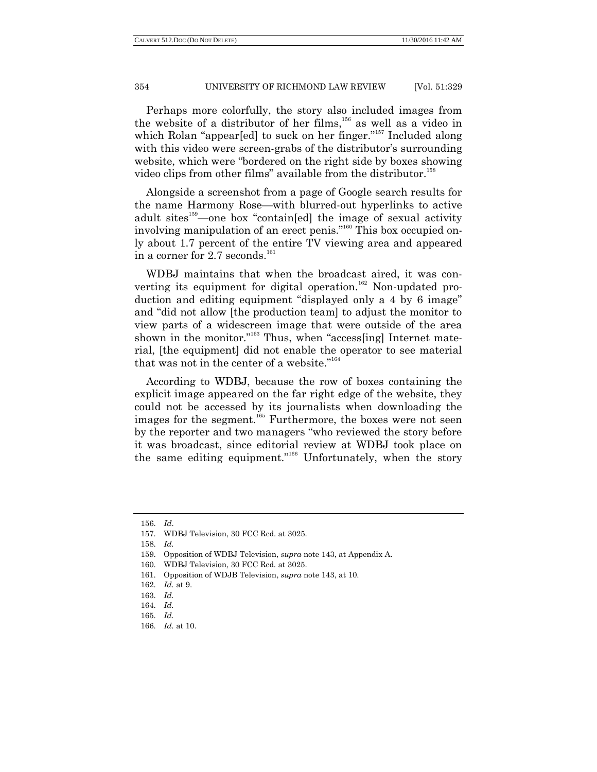Perhaps more colorfully, the story also included images from the website of a distributor of her films,<sup>156</sup> as well as a video in which Rolan "appear[ed] to suck on her finger."<sup>157</sup> Included along with this video were screen-grabs of the distributor's surrounding website, which were "bordered on the right side by boxes showing video clips from other films" available from the distributor.<sup>158</sup>

Alongside a screenshot from a page of Google search results for the name Harmony Rose—with blurred-out hyperlinks to active adult sites $159$ —one box "contain[ed] the image of sexual activity involving manipulation of an erect penis."<sup>160</sup> This box occupied only about 1.7 percent of the entire TV viewing area and appeared in a corner for  $2.7$  seconds.<sup>161</sup>

WDBJ maintains that when the broadcast aired, it was converting its equipment for digital operation.<sup>162</sup> Non-updated production and editing equipment "displayed only a 4 by 6 image" and "did not allow [the production team] to adjust the monitor to view parts of a widescreen image that were outside of the area shown in the monitor."<sup>163</sup> Thus, when "access[ing] Internet material, [the equipment] did not enable the operator to see material that was not in the center of a website."<sup>164</sup>

According to WDBJ, because the row of boxes containing the explicit image appeared on the far right edge of the website, they could not be accessed by its journalists when downloading the images for the segment.<sup>165</sup> Furthermore, the boxes were not seen by the reporter and two managers "who reviewed the story before it was broadcast, since editorial review at WDBJ took place on the same editing equipment."<sup>166</sup> Unfortunately, when the story

<sup>156.</sup> *Id*.

<sup>157.</sup> WDBJ Television, 30 FCC Rcd. at 3025.

<sup>158.</sup> *Id.*

<sup>159.</sup> Opposition of WDBJ Television, *supra* note 143, at Appendix A.

<sup>160.</sup> WDBJ Television, 30 FCC Rcd. at 3025.

<sup>161.</sup> Opposition of WDJB Television, *supra* note 143, at 10.

<sup>162.</sup> *Id.* at 9.

<sup>163.</sup> *Id.*

<sup>164.</sup> *Id.*

<sup>165.</sup> *Id.*

<sup>166.</sup> *Id.* at 10.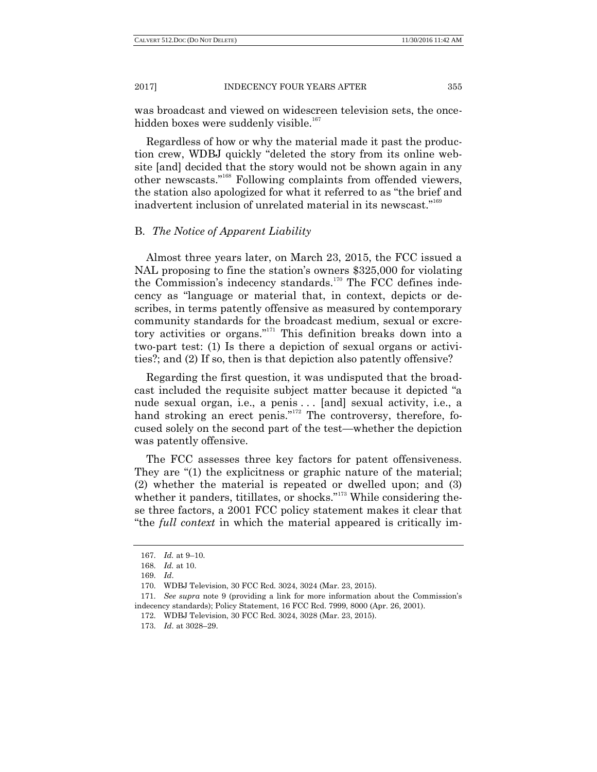was broadcast and viewed on widescreen television sets, the oncehidden boxes were suddenly visible.<sup>167</sup>

Regardless of how or why the material made it past the production crew, WDBJ quickly "deleted the story from its online website [and] decided that the story would not be shown again in any other newscasts."<sup>168</sup> Following complaints from offended viewers, the station also apologized for what it referred to as "the brief and" inadvertent inclusion of unrelated material in its newscast."<sup>169</sup>

# B. *The Notice of Apparent Liability*

Almost three years later, on March 23, 2015, the FCC issued a NAL proposing to fine the station's owners \$325,000 for violating the Commission's indecency standards.<sup>170</sup> The FCC defines indecency as "language or material that, in context, depicts or describes, in terms patently offensive as measured by contemporary community standards for the broadcast medium, sexual or excretory activities or organs."<sup>171</sup> This definition breaks down into a two-part test: (1) Is there a depiction of sexual organs or activities?; and (2) If so, then is that depiction also patently offensive?

Regarding the first question, it was undisputed that the broadcast included the requisite subject matter because it depicted "a nude sexual organ, i.e., a penis ... [and] sexual activity, i.e., a hand stroking an erect penis." $172$  The controversy, therefore, focused solely on the second part of the test—whether the depiction was patently offensive.

The FCC assesses three key factors for patent offensiveness. They are  $(1)$  the explicitness or graphic nature of the material; (2) whether the material is repeated or dwelled upon; and (3) whether it panders, titillates, or shocks." $173$  While considering these three factors, a 2001 FCC policy statement makes it clear that ―the *full context* in which the material appeared is critically im-

<sup>167.</sup> *Id.* at 9–10.

<sup>168.</sup> *Id.* at 10.

<sup>169.</sup> *Id*.

<sup>170.</sup> WDBJ Television, 30 FCC Rcd. 3024, 3024 (Mar. 23, 2015).

<sup>171.</sup> *See supra* note 9 (providing a link for more information about the Commission's indecency standards); Policy Statement, 16 FCC Rcd. 7999, 8000 (Apr. 26, 2001).

<sup>172.</sup> WDBJ Television, 30 FCC Rcd. 3024, 3028 (Mar. 23, 2015).

<sup>173.</sup> *Id*. at 3028–29.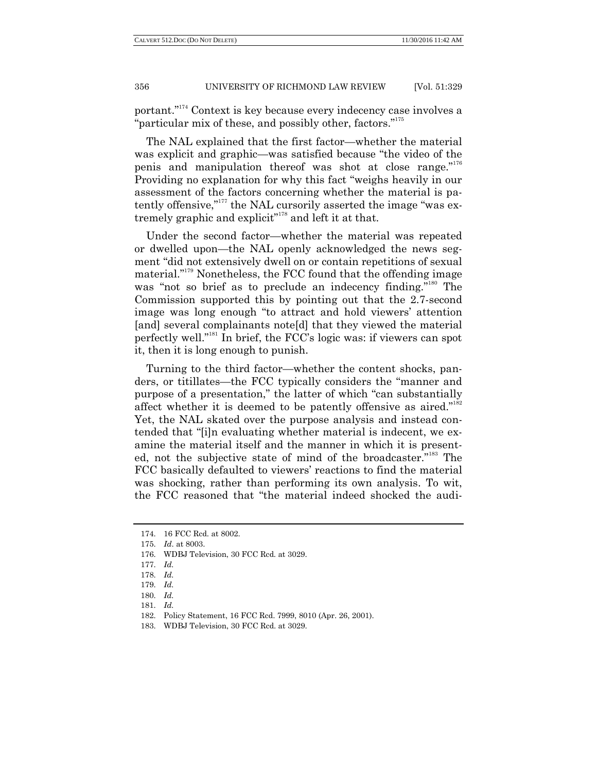portant."<sup>174</sup> Context is key because every indecency case involves a "particular mix of these, and possibly other, factors."<sup>175</sup>

The NAL explained that the first factor—whether the material was explicit and graphic—was satisfied because "the video of the penis and manipulation thereof was shot at close range."<sup>176</sup> Providing no explanation for why this fact "weighs heavily in our assessment of the factors concerning whether the material is patently offensive," $177$  the NAL cursorily asserted the image "was extremely graphic and explicit"<sup>178</sup> and left it at that.

Under the second factor—whether the material was repeated or dwelled upon—the NAL openly acknowledged the news segment "did not extensively dwell on or contain repetitions of sexual material."<sup>179</sup> Nonetheless, the FCC found that the offending image was "not so brief as to preclude an indecency finding."<sup>180</sup> The Commission supported this by pointing out that the 2.7-second image was long enough "to attract and hold viewers' attention [and] several complainants note[d] that they viewed the material perfectly well."<sup>181</sup> In brief, the FCC's logic was: if viewers can spot it, then it is long enough to punish.

Turning to the third factor—whether the content shocks, panders, or titillates—the FCC typically considers the "manner and purpose of a presentation," the latter of which "can substantially affect whether it is deemed to be patently offensive as aired."<sup>182</sup> Yet, the NAL skated over the purpose analysis and instead contended that "[i]n evaluating whether material is indecent, we examine the material itself and the manner in which it is presented, not the subjective state of mind of the broadcaster."<sup>183</sup> The FCC basically defaulted to viewers' reactions to find the material was shocking, rather than performing its own analysis. To wit, the FCC reasoned that "the material indeed shocked the audi-

- 176. WDBJ Television, 30 FCC Rcd. at 3029.
- 177. *Id.*
- 178. *Id.*
- 179. *Id.*
- 180. *Id.*
- 181. *Id.*
- 
- 182. Policy Statement, 16 FCC Rcd. 7999, 8010 (Apr. 26, 2001).
- 183. WDBJ Television, 30 FCC Rcd. at 3029.

<sup>174.</sup> 16 FCC Rcd. at 8002.

<sup>175.</sup> *Id*. at 8003.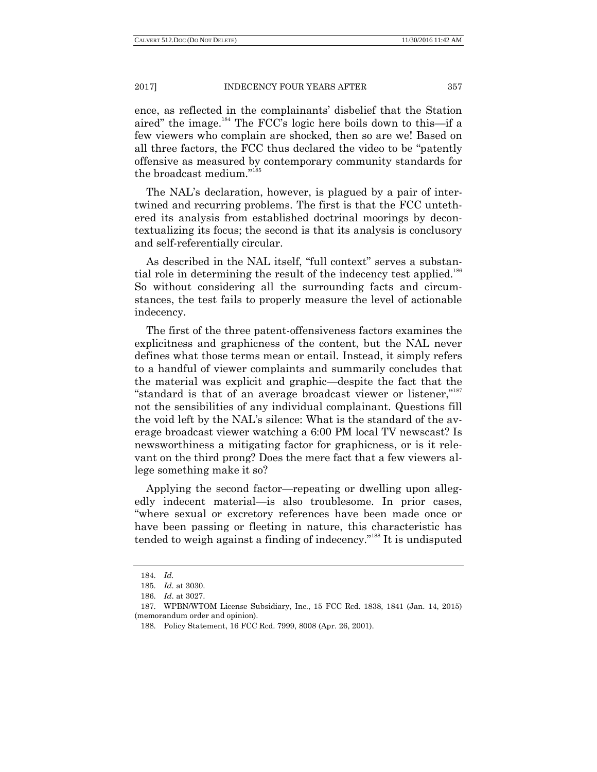ence, as reflected in the complainants' disbelief that the Station aired" the image.<sup>184</sup> The FCC's logic here boils down to this—if a few viewers who complain are shocked, then so are we! Based on all three factors, the FCC thus declared the video to be "patently offensive as measured by contemporary community standards for the broadcast medium."<sup>185</sup>

The NAL's declaration, however, is plagued by a pair of intertwined and recurring problems. The first is that the FCC untethered its analysis from established doctrinal moorings by decontextualizing its focus; the second is that its analysis is conclusory and self-referentially circular.

As described in the NAL itself, "full context" serves a substantial role in determining the result of the indecency test applied.<sup>186</sup> So without considering all the surrounding facts and circumstances, the test fails to properly measure the level of actionable indecency.

The first of the three patent-offensiveness factors examines the explicitness and graphicness of the content, but the NAL never defines what those terms mean or entail. Instead, it simply refers to a handful of viewer complaints and summarily concludes that the material was explicit and graphic—despite the fact that the "standard is that of an average broadcast viewer or listener," not the sensibilities of any individual complainant. Questions fill the void left by the NAL's silence: What is the standard of the average broadcast viewer watching a 6:00 PM local TV newscast? Is newsworthiness a mitigating factor for graphicness, or is it relevant on the third prong? Does the mere fact that a few viewers allege something make it so?

Applying the second factor—repeating or dwelling upon allegedly indecent material—is also troublesome. In prior cases, ―where sexual or excretory references have been made once or have been passing or fleeting in nature, this characteristic has tended to weigh against a finding of indecency."<sup>188</sup> It is undisputed

<sup>184.</sup> *Id.*

<sup>185.</sup> *Id*. at 3030.

<sup>186.</sup> *Id*. at 3027.

<sup>187.</sup> WPBN/WTOM License Subsidiary, Inc., 15 FCC Rcd. 1838, 1841 (Jan. 14, 2015) (memorandum order and opinion).

<sup>188.</sup> Policy Statement, 16 FCC Rcd. 7999, 8008 (Apr. 26, 2001).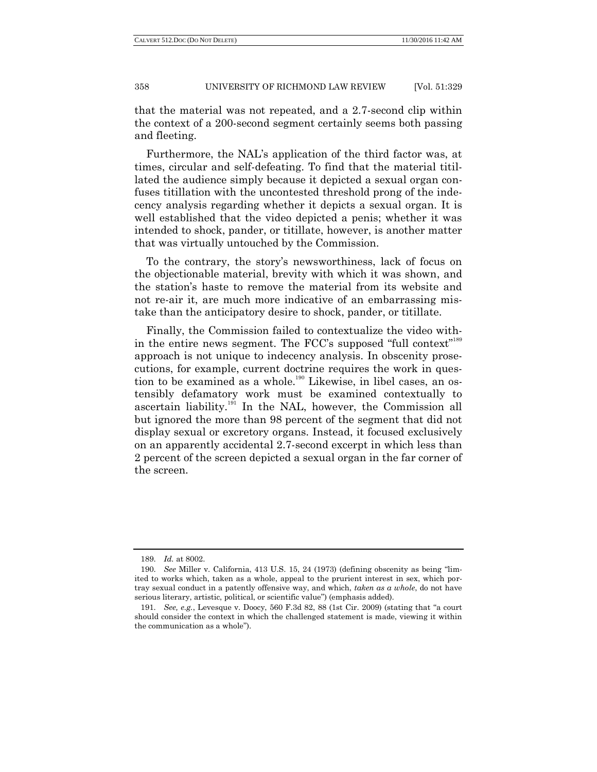that the material was not repeated, and a 2.7-second clip within the context of a 200-second segment certainly seems both passing and fleeting.

Furthermore, the NAL's application of the third factor was, at times, circular and self-defeating. To find that the material titillated the audience simply because it depicted a sexual organ confuses titillation with the uncontested threshold prong of the indecency analysis regarding whether it depicts a sexual organ. It is well established that the video depicted a penis; whether it was intended to shock, pander, or titillate, however, is another matter that was virtually untouched by the Commission.

To the contrary, the story's newsworthiness, lack of focus on the objectionable material, brevity with which it was shown, and the station's haste to remove the material from its website and not re-air it, are much more indicative of an embarrassing mistake than the anticipatory desire to shock, pander, or titillate.

Finally, the Commission failed to contextualize the video within the entire news segment. The  $\text{FCC's supposed "full context"}^{189}$ approach is not unique to indecency analysis. In obscenity prosecutions, for example, current doctrine requires the work in question to be examined as a whole.<sup>190</sup> Likewise, in libel cases, an ostensibly defamatory work must be examined contextually to ascertain liability.<sup>191</sup> In the NAL, however, the Commission all but ignored the more than 98 percent of the segment that did not display sexual or excretory organs. Instead, it focused exclusively on an apparently accidental 2.7-second excerpt in which less than 2 percent of the screen depicted a sexual organ in the far corner of the screen.

<sup>189.</sup> *Id.* at 8002.

<sup>190.</sup> *See* Miller v. California, 413 U.S. 15, 24 (1973) (defining obscenity as being "limited to works which, taken as a whole, appeal to the prurient interest in sex, which portray sexual conduct in a patently offensive way, and which, *taken as a whole*, do not have serious literary, artistic, political, or scientific value") (emphasis added).

<sup>191.</sup> *See, e.g.*, Levesque v. Doocy, 560 F.3d 82, 88 (1st Cir. 2009) (stating that "a court should consider the context in which the challenged statement is made, viewing it within the communication as a whole").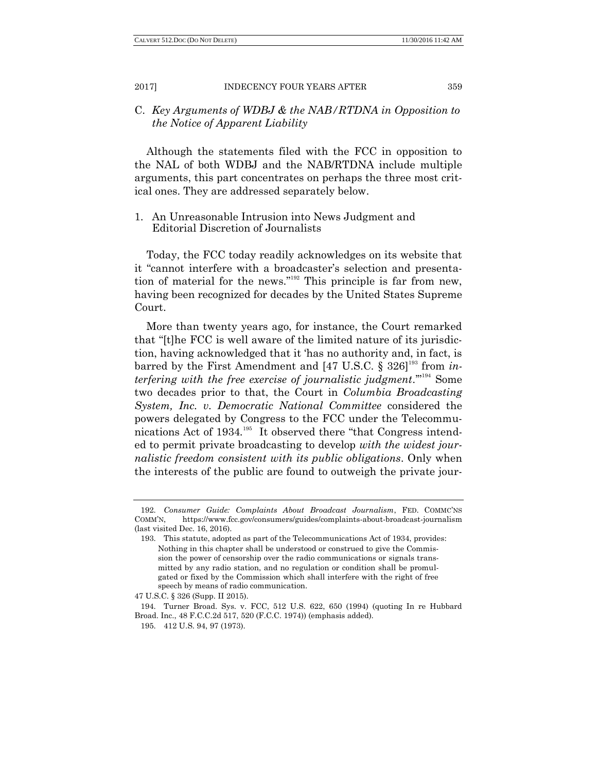# C. *Key Arguments of WDBJ & the NAB/RTDNA in Opposition to the Notice of Apparent Liability*

Although the statements filed with the FCC in opposition to the NAL of both WDBJ and the NAB/RTDNA include multiple arguments, this part concentrates on perhaps the three most critical ones. They are addressed separately below.

1. An Unreasonable Intrusion into News Judgment and Editorial Discretion of Journalists

Today, the FCC today readily acknowledges on its website that it "cannot interfere with a broadcaster's selection and presentation of material for the news."<sup>192</sup> This principle is far from new, having been recognized for decades by the United States Supreme Court.

More than twenty years ago, for instance, the Court remarked that "[t]he FCC is well aware of the limited nature of its jurisdiction, having acknowledged that it 'has no authority and, in fact, is barred by the First Amendment and [47 U.S.C. § 326]<sup>193</sup> from *interfering with the free exercise of journalistic judgment.*"<sup>194</sup> Some two decades prior to that, the Court in *Columbia Broadcasting System, Inc. v. Democratic National Committee* considered the powers delegated by Congress to the FCC under the Telecommunications Act of 1934.<sup>195</sup> It observed there "that Congress intended to permit private broadcasting to develop *with the widest journalistic freedom consistent with its public obligations*. Only when the interests of the public are found to outweigh the private jour-

<sup>192.</sup> *Consumer Guide: Complaints About Broadcast Journalism*, FED. COMMC'NS COMM'N, https://www.fcc.gov/consumers/guides/complaints-about-broadcast-journalism (last visited Dec. 16, 2016).

<sup>193.</sup> This statute, adopted as part of the Telecommunications Act of 1934, provides: Nothing in this chapter shall be understood or construed to give the Commission the power of censorship over the radio communications or signals transmitted by any radio station, and no regulation or condition shall be promulgated or fixed by the Commission which shall interfere with the right of free speech by means of radio communication.

<sup>47</sup> U.S.C. § 326 (Supp. II 2015).

<sup>194.</sup> Turner Broad. Sys. v. FCC, 512 U.S*.* 622, 650 (1994) (quoting In re Hubbard Broad. Inc., 48 F.C.C.2d 517, 520 (F.C.C. 1974)) (emphasis added).

<sup>195.</sup> 412 U.S. 94, 97 (1973).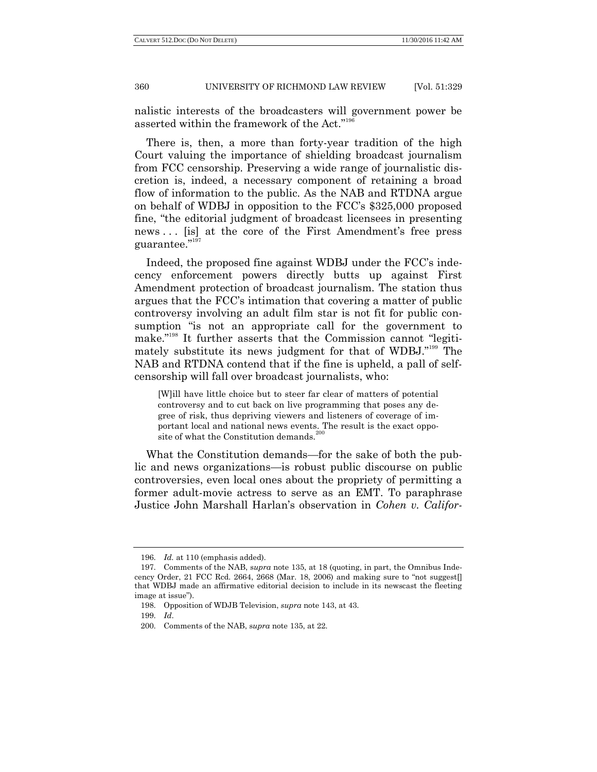nalistic interests of the broadcasters will government power be asserted within the framework of the Act."<sup>196</sup>

There is, then, a more than forty-year tradition of the high Court valuing the importance of shielding broadcast journalism from FCC censorship. Preserving a wide range of journalistic discretion is, indeed, a necessary component of retaining a broad flow of information to the public. As the NAB and RTDNA argue on behalf of WDBJ in opposition to the FCC's \$325,000 proposed fine, "the editorial judgment of broadcast licensees in presenting news ... [is] at the core of the First Amendment's free press guarantee."197

Indeed, the proposed fine against WDBJ under the FCC's indecency enforcement powers directly butts up against First Amendment protection of broadcast journalism. The station thus argues that the FCC's intimation that covering a matter of public controversy involving an adult film star is not fit for public consumption "is not an appropriate call for the government to make."<sup>198</sup> It further asserts that the Commission cannot "legitimately substitute its news judgment for that of WDBJ."<sup>199</sup> The NAB and RTDNA contend that if the fine is upheld, a pall of selfcensorship will fall over broadcast journalists, who:

[W]ill have little choice but to steer far clear of matters of potential controversy and to cut back on live programming that poses any degree of risk, thus depriving viewers and listeners of coverage of important local and national news events. The result is the exact opposite of what the Constitution demands.

What the Constitution demands—for the sake of both the public and news organizations—is robust public discourse on public controversies, even local ones about the propriety of permitting a former adult-movie actress to serve as an EMT. To paraphrase Justice John Marshall Harlan's observation in *Cohen v. Califor-*

<sup>196.</sup> *Id.* at 110 (emphasis added).

<sup>197.</sup> Comments of the NAB, s*upra* note 135, at 18 (quoting, in part, the Omnibus Indecency Order, 21 FCC Rcd. 2664, 2668 (Mar. 18, 2006) and making sure to "not suggest. that WDBJ made an affirmative editorial decision to include in its newscast the fleeting image at issue").

<sup>198.</sup> Opposition of WDJB Television, *supra* note 143, at 43.

<sup>199.</sup> *Id*.

<sup>200.</sup> Comments of the NAB, s*upra* note 135, at 22.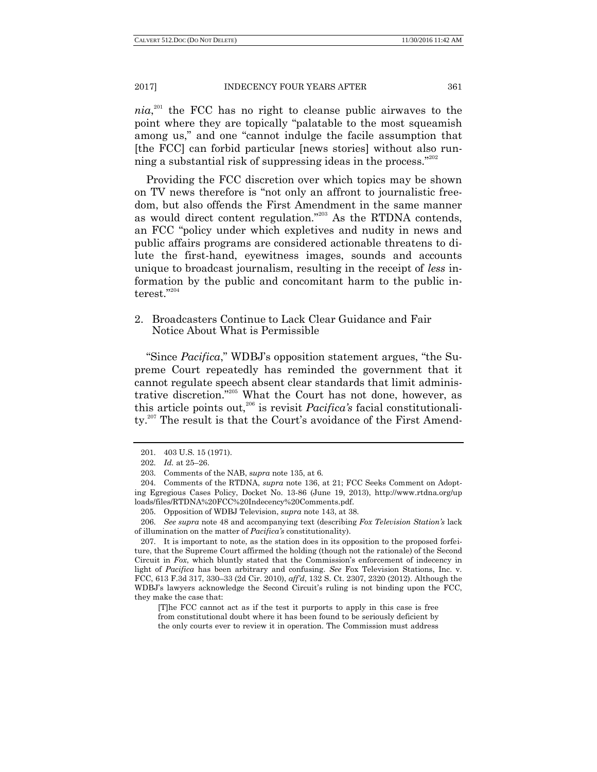$nia<sub>i</sub><sup>201</sup>$  the FCC has no right to cleanse public airwaves to the point where they are topically "palatable to the most squeamish among us," and one "cannot indulge the facile assumption that [the FCC] can forbid particular [news stories] without also running a substantial risk of suppressing ideas in the process. $^{202}$ 

Providing the FCC discretion over which topics may be shown on TV news therefore is "not only an affront to journalistic freedom, but also offends the First Amendment in the same manner as would direct content regulation."<sup>203</sup> As the RTDNA contends, an FCC "policy under which expletives and nudity in news and public affairs programs are considered actionable threatens to dilute the first-hand, eyewitness images, sounds and accounts unique to broadcast journalism, resulting in the receipt of *less* information by the public and concomitant harm to the public interest."204

2. Broadcasters Continue to Lack Clear Guidance and Fair Notice About What is Permissible

"Since *Pacifica*," WDBJ's opposition statement argues, "the Supreme Court repeatedly has reminded the government that it cannot regulate speech absent clear standards that limit administrative discretion."<sup>205</sup> What the Court has not done, however, as this article points out,<sup>206</sup> is revisit *Pacifica's* facial constitutionality.<sup>207</sup> The result is that the Court's avoidance of the First Amend-

[T]he FCC cannot act as if the test it purports to apply in this case is free from constitutional doubt where it has been found to be seriously deficient by the only courts ever to review it in operation. The Commission must address

<sup>201.</sup> 403 U.S. 15 (1971).

<sup>202.</sup> *Id.* at 25–26.

<sup>203.</sup> Comments of the NAB, s*upra* note 135, at 6.

<sup>204.</sup> Comments of the RTDNA, *supra* note 136, at 21; FCC Seeks Comment on Adopting Egregious Cases Policy, Docket No. 13-86 (June 19, 2013), http://www.rtdna.org/up loads/files/RTDNA%20FCC%20Indecency%20Comments.pdf.

<sup>205.</sup> Opposition of WDBJ Television, *supra* note 143, at 38.

<sup>206.</sup> *See supra* note 48 and accompanying text (describing *Fox Television Station"s* lack of illumination on the matter of *Pacifica"s* constitutionality).

<sup>207.</sup> It is important to note, as the station does in its opposition to the proposed forfeiture, that the Supreme Court affirmed the holding (though not the rationale) of the Second Circuit in *Fox*, which bluntly stated that the Commission's enforcement of indecency in light of *Pacifica* has been arbitrary and confusing. *See* Fox Television Stations, Inc. v. FCC, 613 F.3d 317, 330–33 (2d Cir. 2010), *aff"d*, 132 S. Ct. 2307, 2320 (2012). Although the WDBJ's lawyers acknowledge the Second Circuit's ruling is not binding upon the FCC, they make the case that: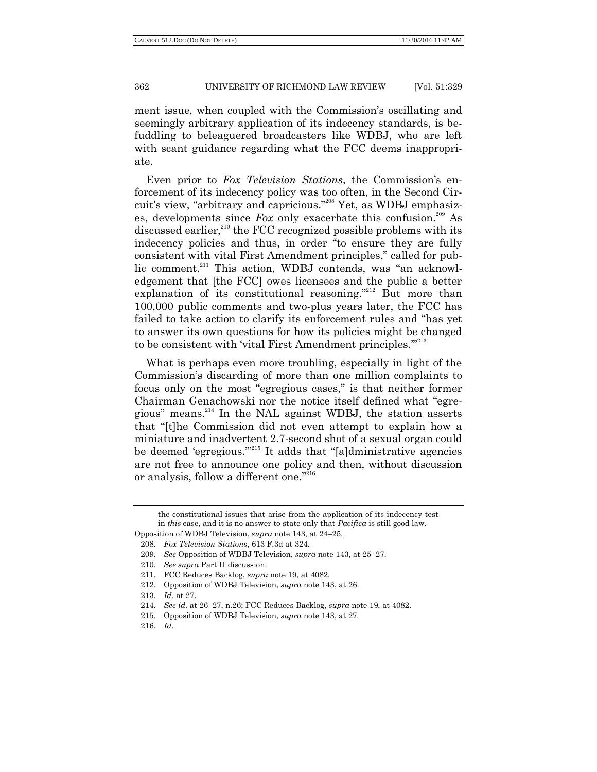ment issue, when coupled with the Commission's oscillating and seemingly arbitrary application of its indecency standards, is befuddling to beleaguered broadcasters like WDBJ, who are left with scant guidance regarding what the FCC deems inappropriate.

Even prior to *Fox Television Stations*, the Commission's enforcement of its indecency policy was too often, in the Second Circuit's view, "arbitrary and capricious."<sup>208</sup> Yet, as WDBJ emphasizes, developments since  $F_{\alpha}$  only exacerbate this confusion.<sup>209</sup> As discussed earlier,<sup>210</sup> the FCC recognized possible problems with its indecency policies and thus, in order "to ensure they are fully consistent with vital First Amendment principles," called for public comment.<sup>211</sup> This action, WDBJ contends, was "an acknowledgement that [the FCC] owes licensees and the public a better explanation of its constitutional reasoning."<sup>212</sup> But more than 100,000 public comments and two-plus years later, the FCC has failed to take action to clarify its enforcement rules and "has yet to answer its own questions for how its policies might be changed to be consistent with 'vital First Amendment principles."<sup>213</sup>

What is perhaps even more troubling, especially in light of the Commission's discarding of more than one million complaints to focus only on the most "egregious cases," is that neither former Chairman Genachowski nor the notice itself defined what "egregious" means. $^{214}$  In the NAL against WDBJ, the station asserts that "[t]he Commission did not even attempt to explain how a miniature and inadvertent 2.7-second shot of a sexual organ could be deemed 'egregious."<sup>215</sup> It adds that "[a]dministrative agencies are not free to announce one policy and then, without discussion or analysis, follow a different one."216

the constitutional issues that arise from the application of its indecency test in *this* case, and it is no answer to state only that *Pacifica* is still good law.

Opposition of WDBJ Television, *supra* note 143, at 24–25.

<sup>208.</sup> *Fox Television Stations*, 613 F.3d at 324.

<sup>209.</sup> *See* Opposition of WDBJ Television, *supra* note 143, at 25–27.

<sup>210.</sup> *See supra* Part II discussion.

<sup>211.</sup> FCC Reduces Backlog, *supra* note 19, at 4082.

<sup>212.</sup> Opposition of WDBJ Television, *supra* note 143, at 26.

<sup>213.</sup> *Id.* at 27.

<sup>214.</sup> *See id.* at 26–27, n.26; FCC Reduces Backlog, *supra* note 19, at 4082.

<sup>215.</sup> Opposition of WDBJ Television, *supra* note 143, at 27.

<sup>216.</sup> *Id*.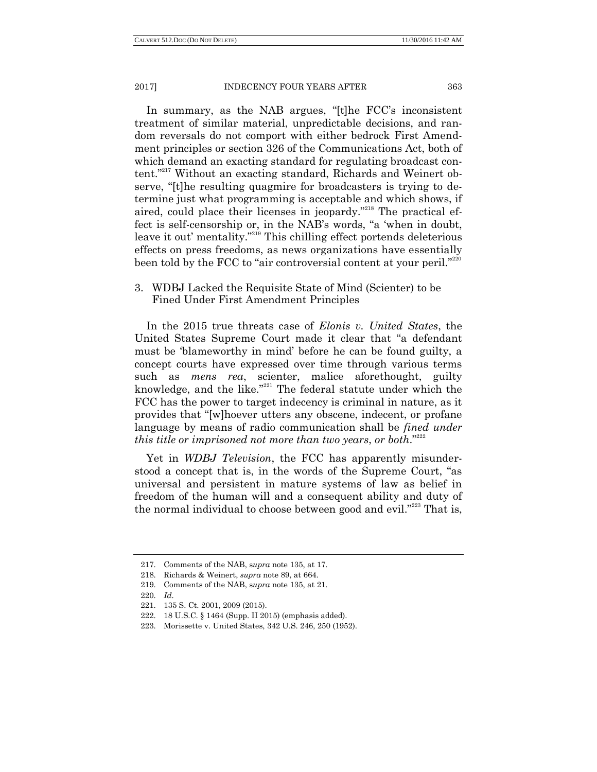In summary, as the NAB argues, "[t]he FCC's inconsistent treatment of similar material, unpredictable decisions, and random reversals do not comport with either bedrock First Amendment principles or section 326 of the Communications Act, both of which demand an exacting standard for regulating broadcast content."<sup>217</sup> Without an exacting standard, Richards and Weinert observe, "[t]he resulting quagmire for broadcasters is trying to determine just what programming is acceptable and which shows, if aired, could place their licenses in jeopardy."<sup>218</sup> The practical effect is self-censorship or, in the NAB's words, "a 'when in doubt, leave it out' mentality."<sup>219</sup> This chilling effect portends deleterious effects on press freedoms, as news organizations have essentially been told by the FCC to "air controversial content at your peril."<sup>220</sup>

# 3. WDBJ Lacked the Requisite State of Mind (Scienter) to be Fined Under First Amendment Principles

In the 2015 true threats case of *Elonis v. United States*, the United States Supreme Court made it clear that "a defendant" must be 'blameworthy in mind' before he can be found guilty, a concept courts have expressed over time through various terms such as *mens rea*, scienter, malice aforethought, guilty knowledge, and the like." $221$  The federal statute under which the FCC has the power to target indecency is criminal in nature, as it provides that "[w]hoever utters any obscene, indecent, or profane language by means of radio communication shall be *fined under this title or imprisoned not more than two years, or both.*<sup>222</sup>

Yet in *WDBJ Television*, the FCC has apparently misunderstood a concept that is, in the words of the Supreme Court, "as universal and persistent in mature systems of law as belief in freedom of the human will and a consequent ability and duty of the normal individual to choose between good and evil." $223$  That is,

<sup>217.</sup> Comments of the NAB, s*upra* note 135, at 17.

<sup>218.</sup> Richards & Weinert, *supra* note 89, at 664.

<sup>219.</sup> Comments of the NAB, s*upra* note 135, at 21.

<sup>220.</sup> *Id*.

<sup>221.</sup> 135 S. Ct. 2001, 2009 (2015).

<sup>222.</sup> 18 U.S.C. § 1464 (Supp. II 2015) (emphasis added).

<sup>223.</sup> Morissette v. United States, 342 U.S. 246, 250 (1952).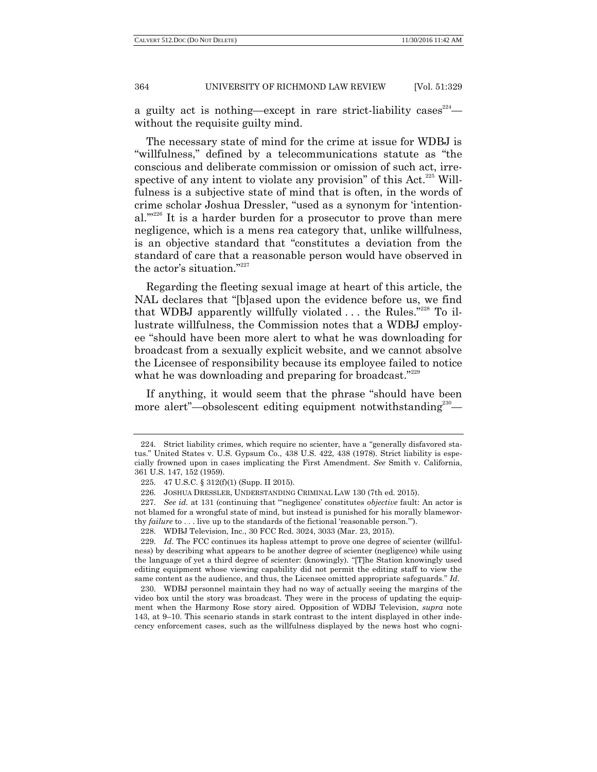a guilty act is nothing—except in rare strict-liability cases  $224$  without the requisite guilty mind.

The necessary state of mind for the crime at issue for WDBJ is "willfulness," defined by a telecommunications statute as "the conscious and deliberate commission or omission of such act, irrespective of any intent to violate any provision" of this Act.<sup>225</sup> Willfulness is a subjective state of mind that is often, in the words of crime scholar Joshua Dressler, "used as a synonym for 'intentional." $2226$  It is a harder burden for a prosecutor to prove than mere negligence, which is a mens rea category that, unlike willfulness, is an objective standard that "constitutes a deviation from the standard of care that a reasonable person would have observed in the actor's situation."227

Regarding the fleeting sexual image at heart of this article, the NAL declares that "[b]ased upon the evidence before us, we find that WDBJ apparently willfully violated  $\dots$  the Rules.<sup>"228</sup> To illustrate willfulness, the Commission notes that a WDBJ employee "should have been more alert to what he was downloading for broadcast from a sexually explicit website, and we cannot absolve the Licensee of responsibility because its employee failed to notice what he was downloading and preparing for broadcast." $229$ 

If anything, it would seem that the phrase "should have been more alert"—obsolescent editing equipment notwithstanding<sup>230</sup>—

<sup>224.</sup> Strict liability crimes, which require no scienter, have a "generally disfavored status." United States v. U.S. Gypsum Co., 438 U.S. 422, 438 (1978). Strict liability is especially frowned upon in cases implicating the First Amendment. *See* Smith v. California, 361 U.S. 147, 152 (1959).

<sup>225.</sup> 47 U.S.C. § 312(f)(1) (Supp. II 2015).

<sup>226.</sup> JOSHUA DRESSLER, UNDERSTANDING CRIMINAL LAW 130 (7th ed. 2015).

<sup>227.</sup> *See id.* at 131 (continuing that ""negligence' constitutes *objective* fault: An actor is not blamed for a wrongful state of mind, but instead is punished for his morally blameworthy *failure* to . . . live up to the standards of the fictional 'reasonable person.").

<sup>228.</sup> WDBJ Television, Inc., 30 FCC Rcd. 3024, 3033 (Mar. 23, 2015).

<sup>229.</sup> *Id*. The FCC continues its hapless attempt to prove one degree of scienter (willfulness) by describing what appears to be another degree of scienter (negligence) while using the language of yet a third degree of scienter: (knowingly). "[T]he Station knowingly used editing equipment whose viewing capability did not permit the editing staff to view the same content as the audience, and thus, the Licensee omitted appropriate safeguards." Id.

<sup>230.</sup> WDBJ personnel maintain they had no way of actually seeing the margins of the video box until the story was broadcast. They were in the process of updating the equipment when the Harmony Rose story aired. Opposition of WDBJ Television, *supra* note 143, at 9–10. This scenario stands in stark contrast to the intent displayed in other indecency enforcement cases, such as the willfulness displayed by the news host who cogni-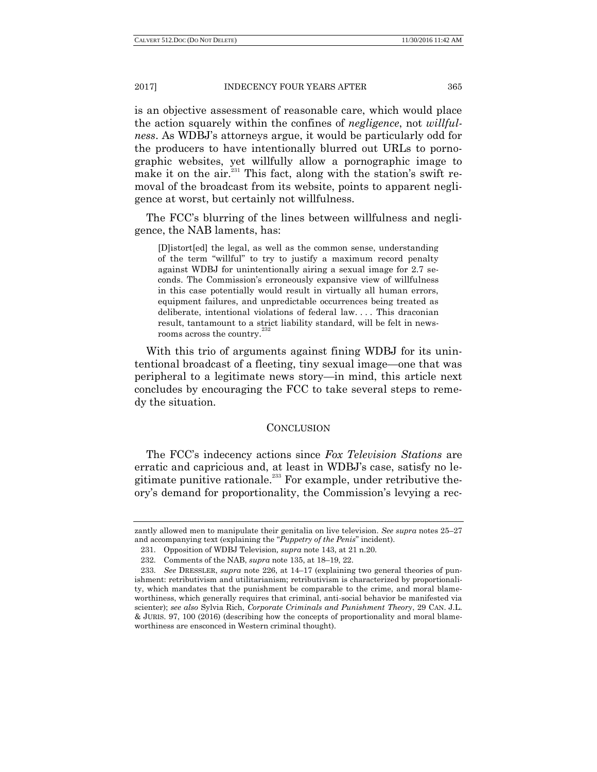is an objective assessment of reasonable care, which would place the action squarely within the confines of *negligence*, not *willfulness*. As WDBJ's attorneys argue, it would be particularly odd for the producers to have intentionally blurred out URLs to pornographic websites, yet willfully allow a pornographic image to make it on the  $air.^{231}$  This fact, along with the station's swift removal of the broadcast from its website, points to apparent negligence at worst, but certainly not willfulness.

The FCC's blurring of the lines between willfulness and negligence, the NAB laments, has:

[D]istort[ed] the legal, as well as the common sense, understanding of the term "willful" to try to justify a maximum record penalty against WDBJ for unintentionally airing a sexual image for 2.7 seconds. The Commission's erroneously expansive view of willfulness in this case potentially would result in virtually all human errors, equipment failures, and unpredictable occurrences being treated as deliberate, intentional violations of federal law. . . . This draconian result, tantamount to a strict liability standard, will be felt in newsrooms across the country.<sup>23</sup>

With this trio of arguments against fining WDBJ for its unintentional broadcast of a fleeting, tiny sexual image—one that was peripheral to a legitimate news story—in mind, this article next concludes by encouraging the FCC to take several steps to remedy the situation.

## **CONCLUSION**

The FCC's indecency actions since *Fox Television Stations* are erratic and capricious and, at least in WDBJ's case, satisfy no legitimate punitive rationale.<sup>233</sup> For example, under retributive theory's demand for proportionality, the Commission's levying a rec-

zantly allowed men to manipulate their genitalia on live television. *See supra* notes 25–27 and accompanying text (explaining the "Puppetry of the Penis" incident).

<sup>231.</sup> Opposition of WDBJ Television*, supra* note 143, at 21 n.20.

<sup>232.</sup> Comments of the NAB, *supra* note 135, at 18–19, 22.

<sup>233.</sup> *See* DRESSLER, *supra* note 226, at 14–17 (explaining two general theories of punishment: retributivism and utilitarianism; retributivism is characterized by proportionality, which mandates that the punishment be comparable to the crime, and moral blameworthiness, which generally requires that criminal, anti-social behavior be manifested via scienter); *see also* Sylvia Rich, *Corporate Criminals and Punishment Theory*, 29 CAN. J.L. & JURIS. 97, 100 (2016) (describing how the concepts of proportionality and moral blameworthiness are ensconced in Western criminal thought).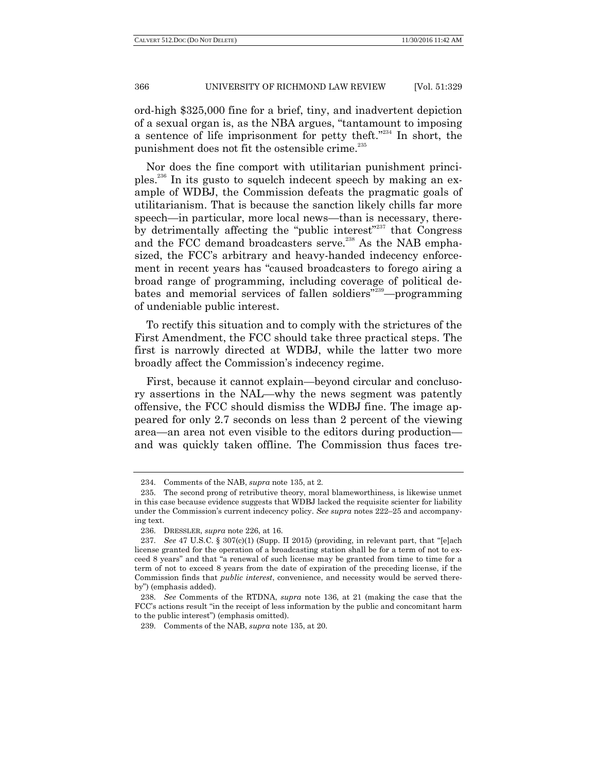ord-high \$325,000 fine for a brief, tiny, and inadvertent depiction of a sexual organ is, as the NBA argues, "tantamount to imposing a sentence of life imprisonment for petty theft." $234$  In short, the punishment does not fit the ostensible crime.<sup>235</sup>

Nor does the fine comport with utilitarian punishment principles.<sup>236</sup> In its gusto to squelch indecent speech by making an example of WDBJ, the Commission defeats the pragmatic goals of utilitarianism. That is because the sanction likely chills far more speech—in particular, more local news—than is necessary, thereby detrimentally affecting the "public interest"<sup>237</sup> that Congress and the FCC demand broadcasters serve.<sup>238</sup> As the NAB emphasized, the FCC's arbitrary and heavy-handed indecency enforcement in recent years has "caused broadcasters to forego airing a broad range of programming, including coverage of political debates and memorial services of fallen soldiers<sup> $239$ </sup>—programming of undeniable public interest.

To rectify this situation and to comply with the strictures of the First Amendment, the FCC should take three practical steps. The first is narrowly directed at WDBJ, while the latter two more broadly affect the Commission's indecency regime.

First, because it cannot explain—beyond circular and conclusory assertions in the NAL—why the news segment was patently offensive, the FCC should dismiss the WDBJ fine. The image appeared for only 2.7 seconds on less than 2 percent of the viewing area—an area not even visible to the editors during production and was quickly taken offline. The Commission thus faces tre-

<sup>234.</sup> Comments of the NAB, *supra* note 135, at 2.

<sup>235.</sup> The second prong of retributive theory, moral blameworthiness, is likewise unmet in this case because evidence suggests that WDBJ lacked the requisite scienter for liability under the Commission's current indecency policy. *See supra* notes 222–25 and accompanying text.

<sup>236.</sup> DRESSLER, *supra* note 226, at 16.

<sup>237.</sup> *See* 47 U.S.C. § 307(c)(1) (Supp. II 2015) (providing, in relevant part, that "[e]ach license granted for the operation of a broadcasting station shall be for a term of not to exceed 8 years" and that "a renewal of such license may be granted from time to time for a term of not to exceed 8 years from the date of expiration of the preceding license, if the Commission finds that *public interest*, convenience, and necessity would be served thereby") (emphasis added).

<sup>238.</sup> *See* Comments of the RTDNA, *supra* note 136, at 21 (making the case that the FCC's actions result "in the receipt of less information by the public and concomitant harm to the public interest") (emphasis omitted).

<sup>239.</sup> Comments of the NAB, *supra* note 135, at 20.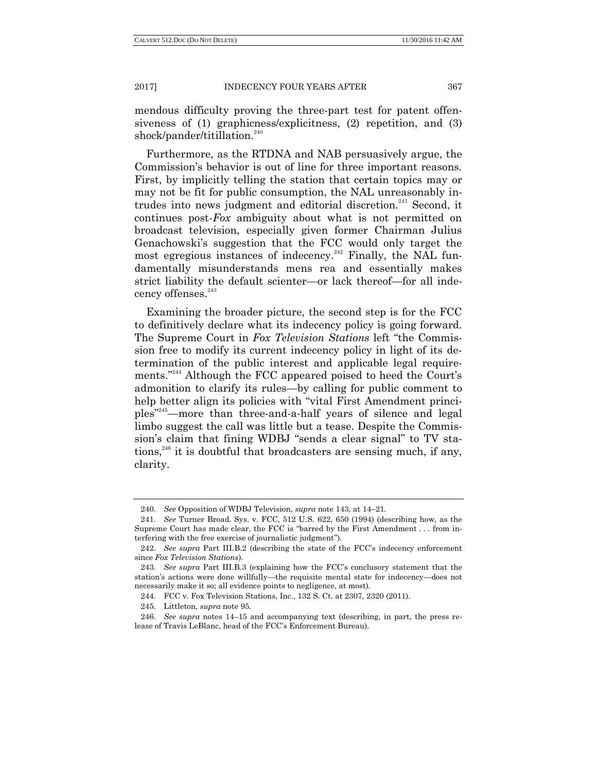mendous difficulty proving the three-part test for patent offensiveness of (1) graphicness/explicitness, (2) repetition, and (3) shock/pander/titillation.<sup>240</sup>

Furthermore, as the RTDNA and NAB persuasively argue, the Commission's behavior is out of line for three important reasons. First, by implicitly telling the station that certain topics may or may not be fit for public consumption, the NAL unreasonably intrudes into news judgment and editorial discretion.<sup>241</sup> Second, it continues post-*Fox* ambiguity about what is not permitted on broadcast television, especially given former Chairman Julius Genachowski's suggestion that the FCC would only target the most egregious instances of indecency.<sup>242</sup> Finally, the NAL fundamentally misunderstands mens rea and essentially makes strict liability the default scienter—or lack thereof—for all indecency offenses.<sup>243</sup>

Examining the broader picture, the second step is for the FCC to definitively declare what its indecency policy is going forward. The Supreme Court in *Fox Television Stations* left "the Commission free to modify its current indecency policy in light of its determination of the public interest and applicable legal requirements."<sup>244</sup> Although the FCC appeared poised to heed the Court's admonition to clarify its rules—by calling for public comment to help better align its policies with "vital First Amendment principles<sup>"245</sup>—more than three-and-a-half years of silence and legal limbo suggest the call was little but a tease. Despite the Commission's claim that fining WDBJ "sends a clear signal" to TV stations, $246$  it is doubtful that broadcasters are sensing much, if any, clarity.

<sup>240.</sup> *See* Opposition of WDBJ Television, *supra* note 143, at 14–21*.*

<sup>241.</sup> *See* Turner Broad. Sys. v. FCC, 512 U.S*.* 622, 650 (1994) (describing how, as the Supreme Court has made clear, the FCC is "barred by the First Amendment . . . from interfering with the free exercise of journalistic judgment".

<sup>242.</sup> *See supra* Part III.B.2 (describing the state of the FCC's indecency enforcement since *Fox Television Stations*).

<sup>243.</sup> *See supra* Part III.B.3 (explaining how the FCC's conclusory statement that the station's actions were done willfully—the requisite mental state for indecency—does not necessarily make it so; all evidence points to negligence, at most).

<sup>244.</sup> FCC v. Fox Television Stations, Inc., 132 S. Ct. at 2307, 2320 (2011).

<sup>245.</sup> Littleton, *supra* note 95.

<sup>246.</sup> *See supra* notes 14–15 and accompanying text (describing, in part, the press release of Travis LeBlanc, head of the FCC's Enforcement Bureau).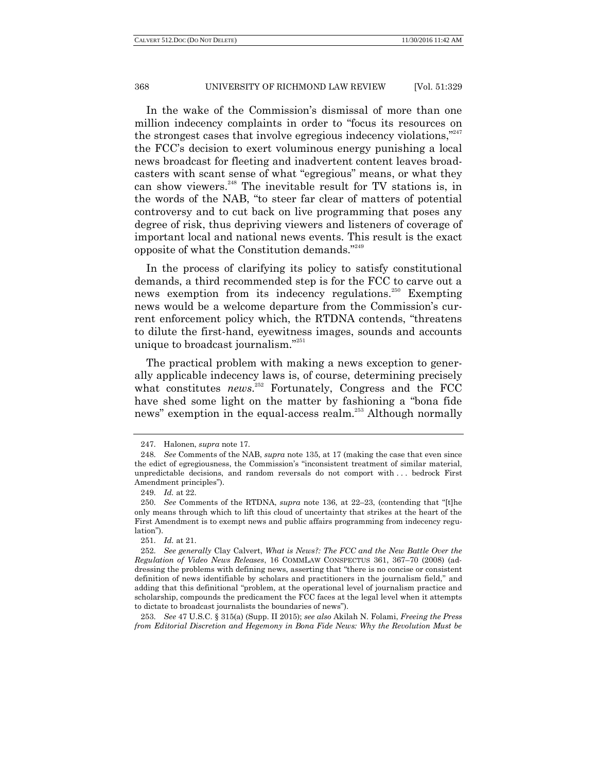In the wake of the Commission's dismissal of more than one million indecency complaints in order to "focus its resources on the strongest cases that involve egregious indecency violations, $"^{247}$ the FCC's decision to exert voluminous energy punishing a local news broadcast for fleeting and inadvertent content leaves broadcasters with scant sense of what "egregious" means, or what they can show viewers.<sup>248</sup> The inevitable result for TV stations is, in the words of the NAB, "to steer far clear of matters of potential controversy and to cut back on live programming that poses any degree of risk, thus depriving viewers and listeners of coverage of important local and national news events. This result is the exact opposite of what the Constitution demands."<sup>249</sup>

In the process of clarifying its policy to satisfy constitutional demands, a third recommended step is for the FCC to carve out a news exemption from its indecency regulations.<sup>250</sup> Exempting news would be a welcome departure from the Commission's current enforcement policy which, the RTDNA contends, "threatens" to dilute the first-hand, eyewitness images, sounds and accounts unique to broadcast journalism."<sup>251</sup>

The practical problem with making a news exception to generally applicable indecency laws is, of course, determining precisely what constitutes *news*.<sup>252</sup> Fortunately, Congress and the FCC have shed some light on the matter by fashioning a "bona fide" news" exemption in the equal-access realm.<sup>253</sup> Although normally

253. *See* 47 U.S.C. § 315(a) (Supp. II 2015); *see also* Akilah N. Folami, *Freeing the Press from Editorial Discretion and Hegemony in Bona Fide News: Why the Revolution Must be*

<sup>247.</sup> Halonen, *supra* note 17.

<sup>248.</sup> *See* Comments of the NAB, *supra* note 135, at 17 (making the case that even since the edict of egregiousness, the Commission's "inconsistent treatment of similar material, unpredictable decisions, and random reversals do not comport with . . . bedrock First Amendment principles").

<sup>249.</sup> *Id.* at 22.

<sup>250.</sup> *See* Comments of the RTDNA, *supra* note 136, at 22–23, (contending that "[t]he only means through which to lift this cloud of uncertainty that strikes at the heart of the First Amendment is to exempt news and public affairs programming from indecency regulation").

<sup>251.</sup> *Id.* at 21.

<sup>252.</sup> *See generally* Clay Calvert, *What is News?: The FCC and the New Battle Over the Regulation of Video News Releases*, 16 COMMLAW CONSPECTUS 361, 367–70 (2008) (addressing the problems with defining news, asserting that "there is no concise or consistent definition of news identifiable by scholars and practitioners in the journalism field," and adding that this definitional "problem, at the operational level of journalism practice and scholarship, compounds the predicament the FCC faces at the legal level when it attempts to dictate to broadcast journalists the boundaries of news‖).